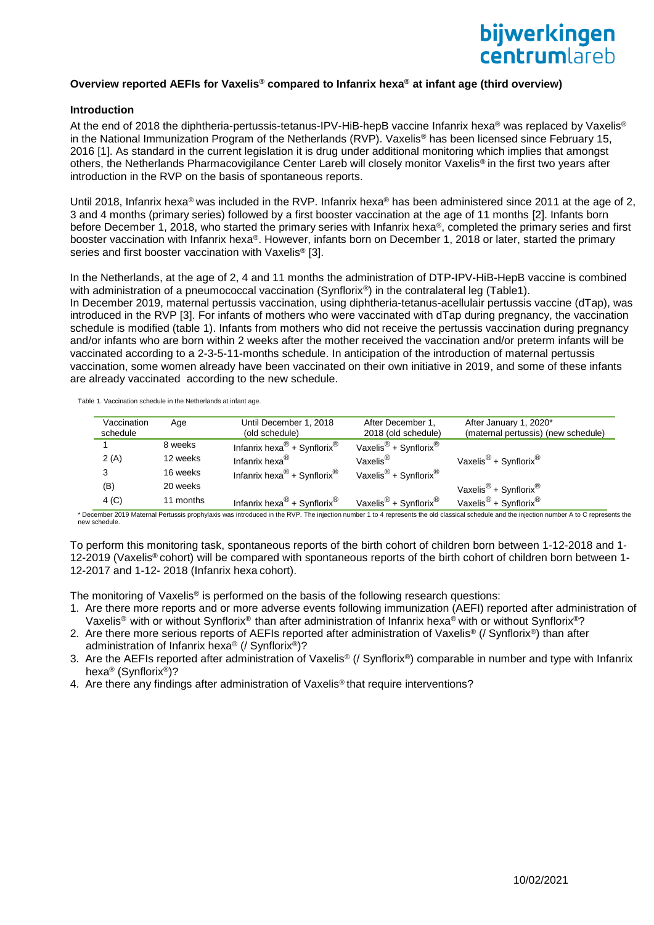### **Overview reported AEFIs for Vaxelis® compared to Infanrix hexa® at infant age (third overview)**

#### **Introduction**

At the end of 2018 the diphtheria-pertussis-tetanus-IPV-HiB-hepB vaccine Infanrix hexa® was replaced by Vaxelis® in the National Immunization Program of the Netherlands (RVP). Vaxelis® has been licensed since February 15, 2016 [1]. As standard in the current legislation it is drug under additional monitoring which implies that amongst others, the Netherlands Pharmacovigilance Center Lareb will closely monitor Vaxelis® in the first two years after introduction in the RVP on the basis of spontaneous reports.

Until 2018, Infanrix hexa® was included in the RVP. Infanrix hexa® has been administered since 2011 at the age of 2, 3 and 4 months (primary series) followed by a first booster vaccination at the age of 11 months [2]. Infants born before December 1, 2018, who started the primary series with Infanrix hexa®, completed the primary series and first booster vaccination with Infanrix hexa®. However, infants born on December 1, 2018 or later, started the primary series and first booster vaccination with Vaxelis<sup>®</sup> [3].

In the Netherlands, at the age of 2, 4 and 11 months the administration of DTP-IPV-HiB-HepB vaccine is combined with administration of a pneumococcal vaccination (Synflorix®) in the contralateral leg (Table1). In December 2019, maternal pertussis vaccination, using diphtheria-tetanus-acellulair pertussis vaccine (dTap), was introduced in the RVP [3]. For infants of mothers who were vaccinated with dTap during pregnancy, the vaccination schedule is modified (table 1). Infants from mothers who did not receive the pertussis vaccination during pregnancy and/or infants who are born within 2 weeks after the mother received the vaccination and/or preterm infants will be vaccinated according to a 2-3-5-11-months schedule. In anticipation of the introduction of maternal pertussis vaccination, some women already have been vaccinated on their own initiative in 2019, and some of these infants are already vaccinated according to the new schedule.

Table 1. Vaccination schedule in the Netherlands at infant age.

| Vaccination<br>schedule | Age       | Until December 1, 2018<br>(old schedule)            | After December 1,<br>2018 (old schedule)      | After January 1, 2020*<br>(maternal pertussis) (new schedule) |
|-------------------------|-----------|-----------------------------------------------------|-----------------------------------------------|---------------------------------------------------------------|
|                         | 8 weeks   | Infanrix hexa <sup>®</sup> + Synflorix <sup>®</sup> | Vaxelis <sup>®</sup> + Synflorix <sup>®</sup> |                                                               |
| 2(A)                    | 12 weeks  | Infanrix hexa <sup>®</sup>                          | Vaxelis $^{\circledR}$                        | Vaxelis <sup>®</sup> + Synflorix®                             |
| 3                       | 16 weeks  | Infanrix hexa <sup>®</sup> + Synflorix <sup>®</sup> | Vaxelis <sup>®</sup> + Synflorix <sup>®</sup> |                                                               |
| (B)                     | 20 weeks  |                                                     |                                               | Vaxelis <sup>®</sup> + Synflorix <sup>®</sup>                 |
| 4 <sub>(C)</sub>        | 11 months | Infanrix hexa <sup>®</sup> + Synflorix <sup>®</sup> | Vaxelis <sup>®</sup> + Synflorix <sup>®</sup> | Vaxelis <sup>®</sup> + Synflorix <sup>®</sup>                 |

\* December 2019 Maternal Pertussis prophylaxis was introduced in the RVP. The injection number 1 to 4 represents the old classical schedule and the injection number A to C represents the new schedule.

To perform this monitoring task, spontaneous reports of the birth cohort of children born between 1-12-2018 and 1- 12-2019 (Vaxelis® cohort) will be compared with spontaneous reports of the birth cohort of children born between 1- 12-2017 and 1-12- 2018 (Infanrix hexa cohort).

The monitoring of Vaxelis® is performed on the basis of the following research questions:

- 1. Are there more reports and or more adverse events following immunization (AEFI) reported after administration of Vaxelis® with or without Synflorix® than after administration of Infanrix hexa® with or without Synflorix®?
- 2. Are there more serious reports of AEFIs reported after administration of Vaxelis® (/ Synflorix®) than after administration of Infanrix hexa® (/ Synflorix®)?
- 3. Are the AEFIs reported after administration of Vaxelis® (/ Synflorix®) comparable in number and type with Infanrix hexa® (Synflorix®)?
- 4. Are there any findings after administration of Vaxelis® that require interventions?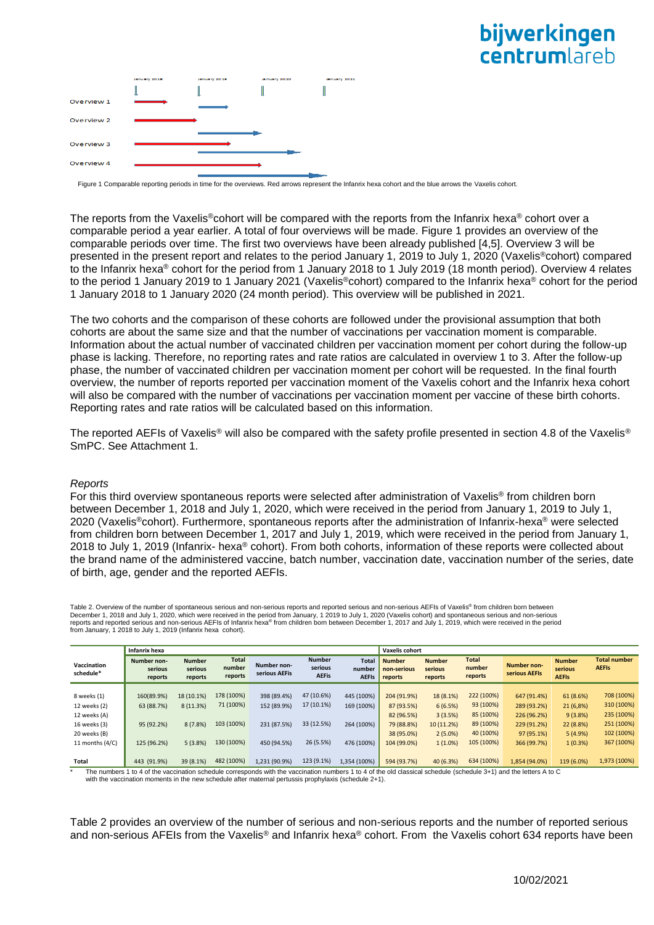# bijwerkingen **Centrum** areh



Figure 1 Comparable reporting periods in time for the overviews. Red arrows represent the Infanrix hexa cohort and the blue arrows the Vaxelis cohort

The reports from the Vaxelis®cohort will be compared with the reports from the Infanrix hexa® cohort over a comparable period a year earlier. A total of four overviews will be made. Figure 1 provides an overview of the comparable periods over time. The first two overviews have been already published [4,5]. Overview 3 will be presented in the present report and relates to the period January 1, 2019 to July 1, 2020 (Vaxelis®cohort) compared to the Infanrix hexa® cohort for the period from 1 January 2018 to 1 July 2019 (18 month period). Overview 4 relates to the period 1 January 2019 to 1 January 2021 (Vaxelis®cohort) compared to the Infanrix hexa® cohort for the period 1 January 2018 to 1 January 2020 (24 month period). This overview will be published in 2021.

The two cohorts and the comparison of these cohorts are followed under the provisional assumption that both cohorts are about the same size and that the number of vaccinations per vaccination moment is comparable. Information about the actual number of vaccinated children per vaccination moment per cohort during the follow-up phase is lacking. Therefore, no reporting rates and rate ratios are calculated in overview 1 to 3. After the follow-up phase, the number of vaccinated children per vaccination moment per cohort will be requested. In the final fourth overview, the number of reports reported per vaccination moment of the Vaxelis cohort and the Infanrix hexa cohort will also be compared with the number of vaccinations per vaccination moment per vaccine of these birth cohorts. Reporting rates and rate ratios will be calculated based on this information.

The reported AEFIs of Vaxelis® will also be compared with the safety profile presented in section 4.8 of the Vaxelis® SmPC. See Attachment 1.

#### *Reports*

For this third overview spontaneous reports were selected after administration of Vaxelis® from children born between December 1, 2018 and July 1, 2020, which were received in the period from January 1, 2019 to July 1, 2020 (Vaxelis®cohort). Furthermore, spontaneous reports after the administration of Infanrix-hexa® were selected from children born between December 1, 2017 and July 1, 2019, which were received in the period from January 1, 2018 to July 1, 2019 (Infanrix- hexa® cohort). From both cohorts, information of these reports were collected about the brand name of the administered vaccine, batch number, vaccination date, vaccination number of the series, date of birth, age, gender and the reported AEFIs.

Table 2. Overview of the number of spontaneous serious and non-serious reports and reported serious and non-serious AEFIs of Vaxelis® from children born between December 1, 2018 and July 1, 2020, which were received in the period from January, 1 2019 to July 1, 2020 (Vaxelis cohort) and spontaneous serious and non-serious<br>reports and reported serious and non-serious AEFIs of Infan from January, 1 2018 to July 1, 2019 (Infanrix hexa cohort).

|                          | Infanrix hexa                     |                                     |                                   |                              |                                          |                                        | <b>Vaxelis cohort</b>                   |                                     |                                   |                              |                                          |                                     |
|--------------------------|-----------------------------------|-------------------------------------|-----------------------------------|------------------------------|------------------------------------------|----------------------------------------|-----------------------------------------|-------------------------------------|-----------------------------------|------------------------------|------------------------------------------|-------------------------------------|
| Vaccination<br>schedule* | Number non-<br>serious<br>reports | <b>Number</b><br>serious<br>reports | <b>Total</b><br>number<br>reports | Number non-<br>serious AEFis | <b>Number</b><br>serious<br><b>AEFis</b> | <b>Total</b><br>number<br><b>AEFIS</b> | <b>Number</b><br>non-serious<br>reports | <b>Number</b><br>serious<br>reports | <b>Total</b><br>number<br>reports | Number non-<br>serious AEFIs | <b>Number</b><br>serious<br><b>AEFIS</b> | <b>Total number</b><br><b>AEFIS</b> |
|                          |                                   |                                     |                                   |                              |                                          |                                        |                                         |                                     |                                   |                              |                                          |                                     |
| 8 weeks (1)              | 160(89.9%)                        | 18 (10.1%)                          | 178 (100%)                        | 398 (89.4%)                  | 47 (10.6%)                               | 445 (100%)                             | 204 (91.9%)                             | 18 (8.1%)                           | 222 (100%)                        | 647 (91.4%)                  | 61 (8.6%)                                | 708 (100%)                          |
| 12 weeks (2)             | 63 (88.7%)                        | 8(11.3%)                            | 71 (100%)                         | 152 (89.9%)                  | 17 (10.1%)                               | 169 (100%)                             | 87 (93.5%)                              | 6(6.5%)                             | 93 (100%)                         | 289 (93.2%)                  | 21 (6,8%)                                | 310 (100%)                          |
| 12 weeks (A)             |                                   |                                     |                                   |                              |                                          |                                        | 82 (96.5%)                              | 3(3.5%)                             | 85 (100%)                         | 226 (96.2%)                  | 9(3.8%)                                  | 235 (100%)                          |
| 16 weeks (3)             | 95 (92.2%)                        | 8(7.8%)                             | 103 (100%)                        | 231 (87.5%)                  | 33 (12.5%)                               | 264 (100%)                             | 79 (88.8%)                              | 10 (11.2%)                          | 89 (100%)                         | 229 (91.2%)                  | 22 (8.8%)                                | 251 (100%)                          |
| 20 weeks (B)             |                                   |                                     |                                   |                              |                                          |                                        | 38 (95.0%)                              | $2(5.0\%)$                          | 40 (100%)                         | 97 (95.1%)                   | 5(4.9%)                                  | 102 (100%)                          |
| 11 months $(4/C)$        | 125 (96.2%)                       | 5(3.8%)                             | 130 (100%)                        | 450 (94.5%)                  | 26 (5.5%)                                | 476 (100%)                             | 104 (99.0%)                             | 1(1.0%)                             | 105 (100%)                        | 366 (99.7%)                  | 1(0.3%)                                  | 367 (100%)                          |
|                          |                                   |                                     |                                   |                              |                                          |                                        |                                         |                                     |                                   |                              |                                          |                                     |
| Total                    | 443 (91.9%)                       | 39 (8.1%)                           | 482 (100%)                        | 1,231 (90.9%)                | 123 (9.1%)                               | 1,354 (100%)                           | 594 (93.7%)                             | 40(6.3%)                            | 634 (100%)                        | 1,854 (94.0%)                | 119 (6.0%)                               | 1,973 (100%)                        |

The numbers 1 to 4 of the vaccination schedule corresponds with the vaccination numbers 1 to 4 of the old classical schedule (schedule 3+1) and the letters A to C<br>with the vaccination moments in the new schedule after mate

Table 2 provides an overview of the number of serious and non-serious reports and the number of reported serious and non-serious AFEIs from the Vaxelis® and Infanrix hexa® cohort. From the Vaxelis cohort 634 reports have been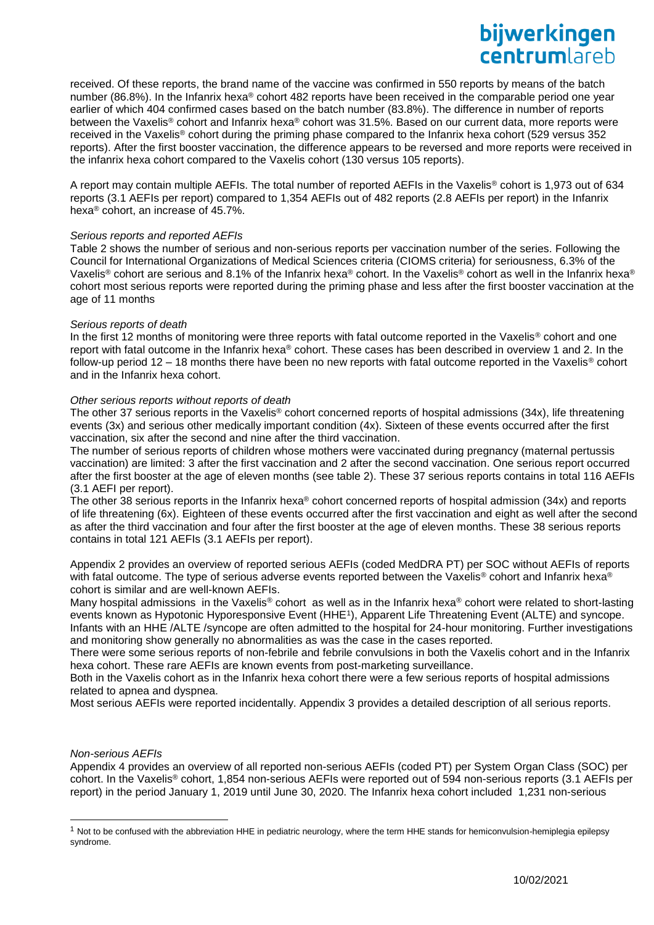received. Of these reports, the brand name of the vaccine was confirmed in 550 reports by means of the batch number (86.8%). In the Infanrix hexa<sup>®</sup> cohort 482 reports have been received in the comparable period one year earlier of which 404 confirmed cases based on the batch number (83.8%). The difference in number of reports between the Vaxelis® cohort and Infanrix hexa® cohort was 31.5%. Based on our current data, more reports were received in the Vaxelis® cohort during the priming phase compared to the Infanrix hexa cohort (529 versus 352 reports). After the first booster vaccination, the difference appears to be reversed and more reports were received in the infanrix hexa cohort compared to the Vaxelis cohort (130 versus 105 reports).

A report may contain multiple AEFIs. The total number of reported AEFIs in the Vaxelis® cohort is 1,973 out of 634 reports (3.1 AEFIs per report) compared to 1,354 AEFIs out of 482 reports (2.8 AEFIs per report) in the Infanrix hexa® cohort, an increase of 45.7%.

### *Serious reports and reported AEFIs*

Table 2 shows the number of serious and non-serious reports per vaccination number of the series. Following the Council for International Organizations of Medical Sciences criteria (CIOMS criteria) for seriousness, 6.3% of the Vaxelis® cohort are serious and 8.1% of the Infanrix hexa® cohort. In the Vaxelis® cohort as well in the Infanrix hexa® cohort most serious reports were reported during the priming phase and less after the first booster vaccination at the age of 11 months

## *Serious reports of death*

In the first 12 months of monitoring were three reports with fatal outcome reported in the Vaxelis<sup>®</sup> cohort and one report with fatal outcome in the Infanrix hexa® cohort. These cases has been described in overview 1 and 2. In the follow-up period  $12 - 18$  months there have been no new reports with fatal outcome reported in the Vaxelis® cohort and in the Infanrix hexa cohort.

## *Other serious reports without reports of death*

The other 37 serious reports in the Vaxelis® cohort concerned reports of hospital admissions (34x), life threatening events (3x) and serious other medically important condition (4x). Sixteen of these events occurred after the first vaccination, six after the second and nine after the third vaccination.

The number of serious reports of children whose mothers were vaccinated during pregnancy (maternal pertussis vaccination) are limited: 3 after the first vaccination and 2 after the second vaccination. One serious report occurred after the first booster at the age of eleven months (see table 2). These 37 serious reports contains in total 116 AEFIs (3.1 AEFI per report).

The other 38 serious reports in the Infanrix hexa® cohort concerned reports of hospital admission (34x) and reports of life threatening (6x). Eighteen of these events occurred after the first vaccination and eight as well after the second as after the third vaccination and four after the first booster at the age of eleven months. These 38 serious reports contains in total 121 AEFIs (3.1 AEFIs per report).

Appendix 2 provides an overview of reported serious AEFIs (coded MedDRA PT) per SOC without AEFIs of reports with fatal outcome. The type of serious adverse events reported between the Vaxelis® cohort and Infanrix hexa® cohort is similar and are well-known AEFIs.

Many hospital admissions in the Vaxelis® cohort as well as in the Infanrix hexa® cohort were related to short-lasting events known as Hypotonic Hyporesponsive Event (HHE<sup>1</sup>), Apparent Life Threatening Event (ALTE) and syncope. Infants with an HHE /ALTE /syncope are often admitted to the hospital for 24-hour monitoring. Further investigations and monitoring show generally no abnormalities as was the case in the cases reported.

There were some serious reports of non-febrile and febrile convulsions in both the Vaxelis cohort and in the Infanrix hexa cohort. These rare AEFIs are known events from post-marketing surveillance.

Both in the Vaxelis cohort as in the Infanrix hexa cohort there were a few serious reports of hospital admissions related to apnea and dyspnea.

Most serious AEFIs were reported incidentally. Appendix 3 provides a detailed description of all serious reports.

# *Non-serious AEFIs*

l

Appendix 4 provides an overview of all reported non-serious AEFIs (coded PT) per System Organ Class (SOC) per cohort. In the Vaxelis® cohort, 1,854 non-serious AEFIs were reported out of 594 non-serious reports (3.1 AEFIs per report) in the period January 1, 2019 until June 30, 2020. The Infanrix hexa cohort included 1,231 non-serious

 $<sup>1</sup>$  Not to be confused with the abbreviation HHE in pediatric neurology, where the term HHE stands for hemiconvulsion-hemiplegia epilepsy</sup> syndrome.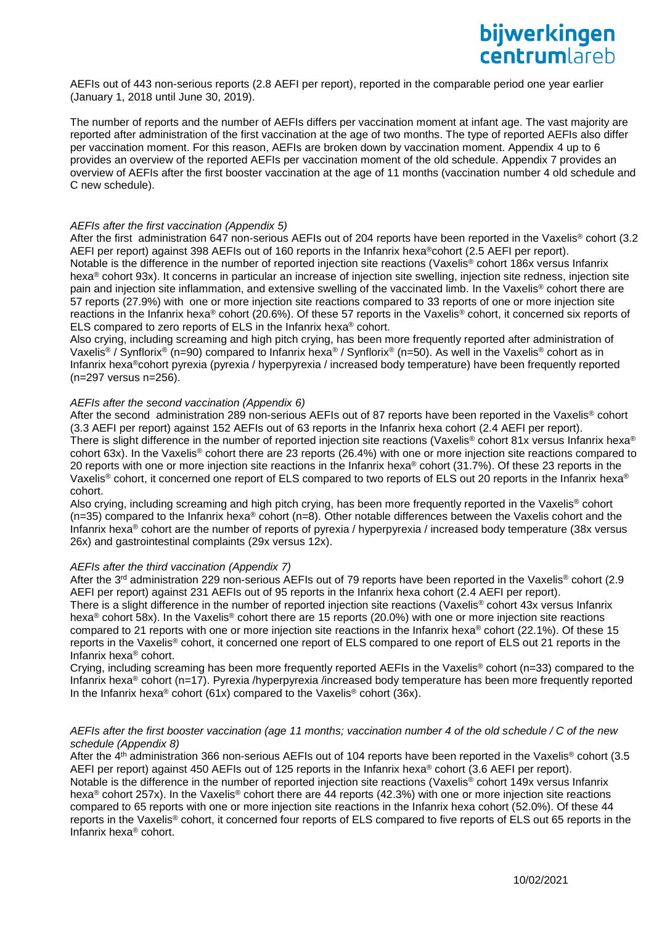AEFIs out of 443 non-serious reports (2.8 AEFI per report), reported in the comparable period one year earlier (January 1, 2018 until June 30, 2019).

The number of reports and the number of AEFIs differs per vaccination moment at infant age. The vast majority are reported after administration of the first vaccination at the age of two months. The type of reported AEFIs also differ per vaccination moment. For this reason, AEFIs are broken down by vaccination moment. Appendix 4 up to 6 provides an overview of the reported AEFIs per vaccination moment of the old schedule. Appendix 7 provides an overview of AEFIs after the first booster vaccination at the age of 11 months (vaccination number 4 old schedule and C new schedule).

### *AEFIs after the first vaccination (Appendix 5)*

After the first administration 647 non-serious AEFIs out of 204 reports have been reported in the Vaxelis<sup>®</sup> cohort (3.2 AEFI per report) against 398 AEFIs out of 160 reports in the Infanrix hexa<sup>®</sup>cohort (2.5 AEFI per report). Notable is the difference in the number of reported injection site reactions (Vaxelis<sup>®</sup> cohort 186x versus Infanrix hexa® cohort 93x). It concerns in particular an increase of injection site swelling, injection site redness, injection site pain and injection site inflammation, and extensive swelling of the vaccinated limb. In the Vaxelis® cohort there are 57 reports (27.9%) with one or more injection site reactions compared to 33 reports of one or more injection site reactions in the Infanrix hexa® cohort (20.6%). Of these 57 reports in the Vaxelis® cohort, it concerned six reports of ELS compared to zero reports of ELS in the Infanrix hexa® cohort.

Also crying, including screaming and high pitch crying, has been more frequently reported after administration of Vaxelis® / Synflorix® (n=90) compared to Infanrix hexa® / Synflorix® (n=50). As well in the Vaxelis® cohort as in Infanrix hexa®cohort pyrexia (pyrexia / hyperpyrexia / increased body temperature) have been frequently reported (n=297 versus n=256).

#### *AEFIs after the second vaccination (Appendix 6)*

After the second administration 289 non-serious AEFIs out of 87 reports have been reported in the Vaxelis® cohort (3.3 AEFI per report) against 152 AEFIs out of 63 reports in the Infanrix hexa cohort (2.4 AEFI per report). There is slight difference in the number of reported injection site reactions (Vaxelis® cohort 81x versus Infanrix hexa® cohort 63x). In the Vaxelis® cohort there are 23 reports (26.4%) with one or more injection site reactions compared to 20 reports with one or more injection site reactions in the Infanrix hexa® cohort (31.7%). Of these 23 reports in the Vaxelis<sup>®</sup> cohort, it concerned one report of ELS compared to two reports of ELS out 20 reports in the Infanrix hexa<sup>®</sup> cohort.

Also crying, including screaming and high pitch crying, has been more frequently reported in the Vaxelis® cohort  $(n=35)$  compared to the Infanrix hexa® cohort  $(n=8)$ . Other notable differences between the Vaxelis cohort and the Infanrix hexa® cohort are the number of reports of pyrexia / hyperpyrexia / increased body temperature (38x versus 26x) and gastrointestinal complaints (29x versus 12x).

#### *AEFIs after the third vaccination (Appendix 7)*

After the 3<sup>rd</sup> administration 229 non-serious AEFIs out of 79 reports have been reported in the Vaxelis<sup>®</sup> cohort (2.9 AEFI per report) against 231 AEFIs out of 95 reports in the Infanrix hexa cohort (2.4 AEFI per report). There is a slight difference in the number of reported injection site reactions (Vaxelis® cohort 43x versus Infanrix hexa® cohort 58x). In the Vaxelis® cohort there are 15 reports (20.0%) with one or more injection site reactions compared to 21 reports with one or more injection site reactions in the Infanrix hexa® cohort (22.1%). Of these 15 reports in the Vaxelis® cohort, it concerned one report of ELS compared to one report of ELS out 21 reports in the Infanrix hexa® cohort.

Crying, including screaming has been more frequently reported AEFIs in the Vaxelis® cohort (n=33) compared to the Infanrix hexa<sup>®</sup> cohort (n=17). Pyrexia /hyperpyrexia /increased body temperature has been more frequently reported In the Infanrix hexa<sup>®</sup> cohort (61x) compared to the Vaxelis<sup>®</sup> cohort (36x).

### *AEFIs after the first booster vaccination (age 11 months; vaccination number 4 of the old schedule / C of the new schedule (Appendix 8)*

After the 4<sup>th</sup> administration 366 non-serious AEFIs out of 104 reports have been reported in the Vaxelis<sup>®</sup> cohort (3.5 AEFI per report) against 450 AEFIs out of 125 reports in the Infanrix hexa® cohort (3.6 AEFI per report). Notable is the difference in the number of reported injection site reactions (Vaxelis® cohort 149x versus Infanrix hexa® cohort 257x). In the Vaxelis® cohort there are 44 reports (42.3%) with one or more injection site reactions compared to 65 reports with one or more injection site reactions in the Infanrix hexa cohort (52.0%). Of these 44 reports in the Vaxelis® cohort, it concerned four reports of ELS compared to five reports of ELS out 65 reports in the Infanrix hexa® cohort.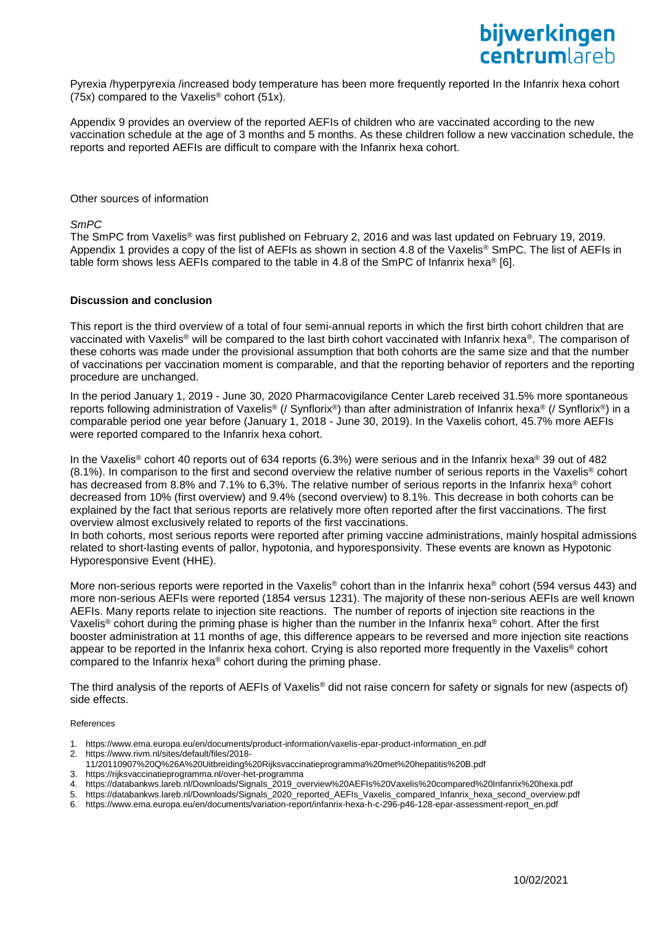Pyrexia /hyperpyrexia /increased body temperature has been more frequently reported In the Infanrix hexa cohort (75x) compared to the Vaxelis® cohort (51x).

Appendix 9 provides an overview of the reported AEFIs of children who are vaccinated according to the new vaccination schedule at the age of 3 months and 5 months. As these children follow a new vaccination schedule, the reports and reported AEFIs are difficult to compare with the Infanrix hexa cohort.

#### Other sources of information

*SmPC*

The SmPC from Vaxelis® was first published on February 2, 2016 and was last updated on February 19, 2019. Appendix 1 provides a copy of the list of AEFIs as shown in section 4.8 of the Vaxelis® SmPC. The list of AEFIs in table form shows less AEFIs compared to the table in 4.8 of the SmPC of Infanrix hexa<sup>®</sup> [6].

### **Discussion and conclusion**

This report is the third overview of a total of four semi-annual reports in which the first birth cohort children that are vaccinated with Vaxelis® will be compared to the last birth cohort vaccinated with Infanrix hexa®. The comparison of these cohorts was made under the provisional assumption that both cohorts are the same size and that the number of vaccinations per vaccination moment is comparable, and that the reporting behavior of reporters and the reporting procedure are unchanged.

In the period January 1, 2019 - June 30, 2020 Pharmacovigilance Center Lareb received 31.5% more spontaneous reports following administration of Vaxelis® (/ Synflorix®) than after administration of Infanrix hexa® (/ Synflorix®) in a comparable period one year before (January 1, 2018 - June 30, 2019). In the Vaxelis cohort, 45.7% more AEFIs were reported compared to the Infanrix hexa cohort.

In the Vaxelis<sup>®</sup> cohort 40 reports out of 634 reports (6.3%) were serious and in the Infanrix hexa<sup>®</sup> 39 out of 482 (8.1%). In comparison to the first and second overview the relative number of serious reports in the Vaxelis® cohort has decreased from 8.8% and 7.1% to 6,3%. The relative number of serious reports in the Infanrix hexa<sup>®</sup> cohort decreased from 10% (first overview) and 9.4% (second overview) to 8.1%. This decrease in both cohorts can be explained by the fact that serious reports are relatively more often reported after the first vaccinations. The first overview almost exclusively related to reports of the first vaccinations.

In both cohorts, most serious reports were reported after priming vaccine administrations, mainly hospital admissions related to short-lasting events of pallor, hypotonia, and hyporesponsivity. These events are known as Hypotonic Hyporesponsive Event (HHE).

More non-serious reports were reported in the Vaxelis® cohort than in the Infanrix hexa® cohort (594 versus 443) and more non-serious AEFIs were reported (1854 versus 1231). The majority of these non-serious AEFIs are well known AEFIs. Many reports relate to injection site reactions. The number of reports of injection site reactions in the Vaxelis® cohort during the priming phase is higher than the number in the Infanrix hexa® cohort. After the first booster administration at 11 months of age, this difference appears to be reversed and more injection site reactions appear to be reported in the Infanrix hexa cohort. Crying is also reported more frequently in the Vaxelis® cohort compared to the Infanrix hexa® cohort during the priming phase.

The third analysis of the reports of AEFIs of Vaxelis® did not raise concern for safety or signals for new (aspects of) side effects.

#### References

- 1. [https://www.ema.europa.eu/en/documents/product-information/vaxelis-epar-product-information\\_en.pdf](https://www.ema.europa.eu/en/documents/product-information/vaxelis-epar-product-information_en.pdf)
- 2. https://www.rivm.nl/sites/default/files/2018-
- 11/20110907%20Q%26A%20Uitbreiding%20Rijksvaccinatieprogramma%20met%20hepatitis%20B.pdf
- 3. https://rijksvaccinatieprogramma.nl/over-het-programma
- 4. [https://databankws.lareb.nl/Downloads/Signals\\_2019\\_overview%20AEFIs%20Vaxelis%20compared%20Infanrix%20hexa.pdf](https://databankws.lareb.nl/Downloads/Signals_2019_overview%20AEFIs%20Vaxelis%20compared%20Infanrix%20hexa.pdf)
- 5. https://databankws.lareb.nl/Downloads/Signals\_2020\_reported\_AEFIs\_Vaxelis\_compared\_Infanrix\_hexa\_second\_overview.pdf
- 6. https://www.ema.europa.eu/en/documents/variation-report/infanrix-hexa-h-c-296-p46-128-epar-assessment-report\_en.pdf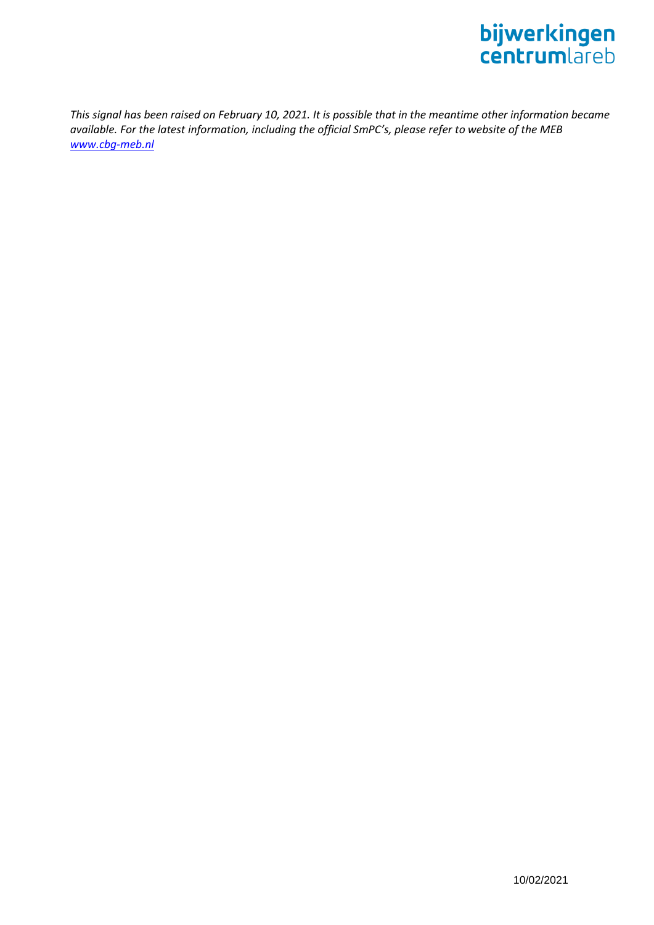

*This signal has been raised on February 10, 2021. It is possible that in the meantime other information became available. For the latest information, including the official SmPC's, please refer to website of the MEB [www.cbg-meb.nl](http://www.cbg-meb.nl/)*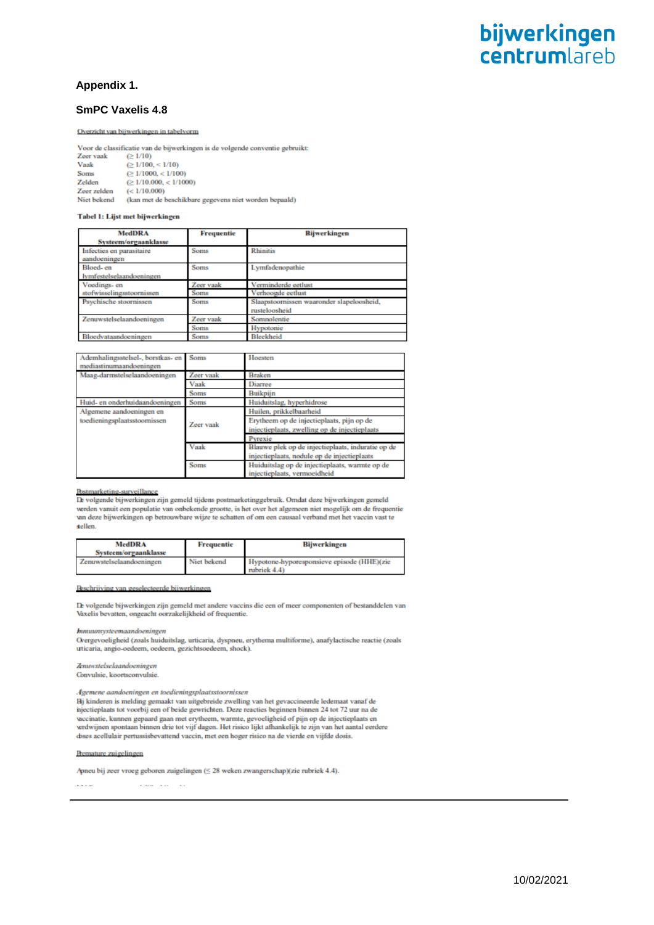# **Appendix 1.**

## **SmPC Vaxelis 4.8**

#### Overzicht van bijwerkingen in tabelvorm

Voor de classificatie van de bijwerkingen is de volgende conventie gebruikt:  $\geq 1/10$ Zeer vaak Vaak  $\geq 1/100 \leq 1/10$ 

Soms  $\geq 1/1000 \leq 1/100$ Zelden  $\approx 1/10.000, < 1/1000$  $(< 1/10.000)$ Zeer zelden Niet bekend (kan met de beschikbare gegevens niet worden bepaald)

#### Tabel 1: Lijst met bijwerkingen

| <b>MedDRA</b><br>Systeem/orgaanklasse    | Frequentie  | <b>Bijwerkingen</b>                       |
|------------------------------------------|-------------|-------------------------------------------|
| Infecties en parasitaire<br>aandoeningen | Soms        | <b>Rhinitis</b>                           |
| Bloed-en<br>lymfestelselaandoeningen     | <b>Soms</b> | Lymfadenopathie                           |
| Voedings- en                             | Zeer vaak   | Verminderde eetlust                       |
| stofwisselingsstoornissen                | Soms        | Verhoogde eetlust                         |
| Psychische stoornissen                   | <b>Soms</b> | Slaapstoornissen waaronder slapeloosheid, |
|                                          |             | rusteloosheid                             |
| Zenuwstelselaandoeningen                 | Zeer vaak   | Sompolentie                               |
|                                          | Soms        | Hypotonie                                 |
| Bloedvataandoeningen                     | Soms        | <b>Bleekheid</b>                          |

| Ademhalingsstelsel-, borstkas- en<br>mediastinumaandoeningen | Soms      | Hoesten                                           |
|--------------------------------------------------------------|-----------|---------------------------------------------------|
| Maag-darmstelselaandoeningen                                 | Zeer vaak | <b>Braken</b>                                     |
|                                                              | Vaak      | <b>Diarree</b>                                    |
|                                                              | Soms      | <b>Buikpijn</b>                                   |
| Huid- en onderhuidaandoeningen                               | Soms      | Huiduitslag, hyperhidrose                         |
| Algemene aandoeningen en                                     |           | Huilen, prikkelbaarheid                           |
| toedieningsplaatsstoornissen                                 | Zeer vaak | Erytheem op de injectieplaats, pijn op de         |
|                                                              |           | injectieplaats, zwelling op de injectieplaats     |
|                                                              |           | Pyrexie                                           |
|                                                              | Vaak      | Blauwe plek op de injectieplaats, induratie op de |
|                                                              |           | injectieplaats, nodule op de injectieplaats       |
|                                                              | Soms      | Huiduitslag op de injectieplaats, warmte op de    |
|                                                              |           | injectieplaats, vermoeidheid                      |

### **Postmarketing-surveillance**

De volgende bijwerkingen zijn gemeld tijdens postmarketinggebruik. Omdat deze bijwerkingen gemeld werden vanuit een populatie van onbekende grootte, is het over het algemeen niet mogelijk om de frequentie un deze bijwerkingen op betrouwbare wijze te schatten of om een causaal verband met het vaccin vast te sellen.

| <b>MedDRA</b><br>Systeem/orgaanklasse | Frequentie  | Bijwerkingen                                               |
|---------------------------------------|-------------|------------------------------------------------------------|
| Zenuwstelselaandoeningen              | Niet bekend | Hypotone-hyporesponsieve episode (HHE)(zie<br>rubriek 4.4) |

#### geselecteerde bijwerkinge **Reschrijving van**

De volgende bijwerkingen zijn gemeld met andere vaccins die een of meer componenten of bestanddelen van Vaxelis bevatten, ongeacht oorzakelijkheid of frequentie.

himuunsysteemaandoeningen

Overgevoeligheid (zoals huiduitslag, urticaria, dyspneu, erythema multiforme), anafylactische reactie (zoals uticaria, angio-oedeem, oedeem, gezichtsoedeem, shock).

#### Zenuwstelselaandoeningen Convulsie, koortsconvulsie.

Agemene aandoeningen en toedieningsplaatsstoornissen Hj kinderen is melding gemaakt van uitgebreide zwelling van het gevaccineerde ledemaat vanaf de Expansion of beide gewrichten. Deze reacties beginnen binnen 24 tot 72 uur na de<br>nijectieplaats tot voorbij een of beide gewrichten. Deze reacties beginnen binnen 24 tot 72 uur na de<br>veccinatie, kunnen gepaard gaan met ery verdwijnen spontaan binnen drie tot vijf dagen. Het risico lijkt afhankelijk te zijn van het aantal eerdere doses acellulair pertussisbevattend vaccin, met een hoger risico na de vierde en vijfde dosis.

#### **Remature zuigelingen**

Apneu bij zeer vroeg geboren zuigelingen (≤ 28 weken zwangerschap)(zie rubriek 4.4).

 $\sim$   $\sim$   $\sim$ a contracto del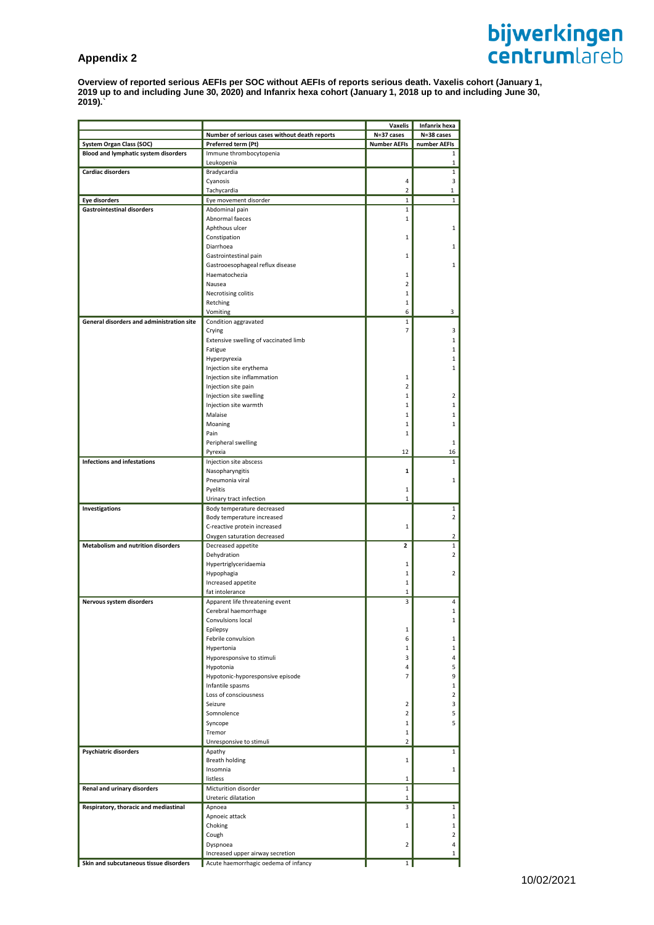# **Appendix 2**

**Overview of reported serious AEFIs per SOC without AEFIs of reports serious death. Vaxelis cohort (January 1, 2019 up to and including June 30, 2020) and Infanrix hexa cohort (January 1, 2018 up to and including June 30, 2019).`**

|                                             |                                                   | Vaxelis             | Infanrix hexa  |
|---------------------------------------------|---------------------------------------------------|---------------------|----------------|
|                                             | Number of serious cases without death reports     | N=37 cases          | N=38 cases     |
| System Organ Class (SOC)                    | Preferred term (Pt)                               | <b>Number AEFIs</b> | number AEFIs   |
| <b>Blood and lymphatic system disorders</b> | Immune thrombocytopenia                           |                     | 1              |
|                                             | Leukopenia                                        |                     | $\mathbf{1}$   |
| <b>Cardiac disorders</b>                    | Bradycardia                                       |                     | $\mathbf{1}$   |
|                                             | Cyanosis                                          | 4                   | 3              |
|                                             | Tachycardia                                       | $\overline{2}$      | $\mathbf{1}$   |
| <b>Eye disorders</b>                        | Eye movement disorder                             | $\mathbf{1}$        | $\mathbf{1}$   |
| <b>Gastrointestinal disorders</b>           | Abdominal pain                                    | 1                   |                |
|                                             | Abnormal faeces                                   | 1                   |                |
|                                             | Aphthous ulcer<br>Constipation                    | 1                   | 1              |
|                                             | Diarrhoea                                         |                     | 1              |
|                                             | Gastrointestinal pain                             | 1                   |                |
|                                             |                                                   |                     | $\mathbf{1}$   |
|                                             | Gastrooesophageal reflux disease<br>Haematochezia | 1                   |                |
|                                             | Nausea                                            | $\overline{2}$      |                |
|                                             | Necrotising colitis                               | 1                   |                |
|                                             | Retching                                          | 1                   |                |
|                                             | Vomiting                                          | 6                   | 3              |
| General disorders and administration site   | Condition aggravated                              | $\mathbf{1}$        |                |
|                                             | Crying                                            | $\overline{7}$      | 3              |
|                                             | Extensive swelling of vaccinated limb             |                     | 1              |
|                                             | Fatigue                                           |                     | $\mathbf{1}$   |
|                                             | Hyperpyrexia                                      |                     | 1              |
|                                             | Injection site erythema                           |                     | 1              |
|                                             | Injection site inflammation                       | 1                   |                |
|                                             | Injection site pain                               | 2                   |                |
|                                             | Injection site swelling                           | 1                   | 2              |
|                                             | Injection site warmth                             | 1                   | $\mathbf{1}$   |
|                                             | Malaise                                           | 1                   | 1              |
|                                             | Moaning                                           | 1                   | $\mathbf{1}$   |
|                                             | Pain                                              | 1                   |                |
|                                             | Peripheral swelling                               |                     | 1              |
|                                             | Pyrexia                                           | 12                  | 16             |
| <b>Infections and infestations</b>          | Injection site abscess                            |                     | $\mathbf{1}$   |
|                                             | Nasopharyngitis                                   | 1                   |                |
|                                             | Pneumonia viral                                   |                     | 1              |
|                                             | Pyelitis                                          | 1                   |                |
|                                             | Urinary tract infection                           | $\mathbf{1}$        |                |
| Investigations                              | Body temperature decreased                        |                     | $\mathbf{1}$   |
|                                             | Body temperature increased                        |                     | $\overline{2}$ |
|                                             | C-reactive protein increased                      | 1                   |                |
|                                             | Oxygen saturation decreased                       |                     | 2              |
| <b>Metabolism and nutrition disorders</b>   | Decreased appetite                                | 2                   | 1              |
|                                             | Dehydration                                       |                     | $\overline{2}$ |
|                                             | Hypertriglyceridaemia                             | 1                   |                |
|                                             | Hypophagia                                        | 1                   | $\overline{2}$ |
|                                             | Increased appetite                                | 1                   |                |
|                                             | fat intolerance                                   | 1                   |                |
| Nervous system disorders                    | Apparent life threatening event                   | 3                   | 4              |
|                                             | Cerebral haemorrhage                              |                     | 1              |
|                                             | Convulsions local                                 |                     | $\mathbf{1}$   |
|                                             | Epilepsy                                          | 1                   |                |
|                                             | Febrile convulsion                                | 6                   | $\mathbf{1}$   |
|                                             | Hypertonia                                        | 1                   | $\mathbf{1}$   |
|                                             | Hyporesponsive to stimuli                         | 3                   | 4              |
|                                             | Hypotonia                                         | 4                   | 5              |
|                                             | Hypotonic-hyporesponsive episode                  | $\overline{7}$      | 9              |
|                                             | Infantile spasms                                  |                     | 1              |
|                                             | Loss of consciousness                             |                     | $\overline{2}$ |
|                                             | Seizure                                           | 2                   | 3              |
|                                             | Somnolence                                        | $\overline{2}$      | 5              |
|                                             | Syncope                                           | 1                   | 5              |
|                                             | Tremor                                            | 1                   |                |
|                                             | Unresponsive to stimuli                           | $\overline{2}$      |                |
| Psychiatric disorders                       | Apathy                                            |                     | $\mathbf{1}$   |
|                                             | Breath holding                                    | $\mathbf{1}$        |                |
|                                             | Insomnia                                          |                     | 1              |
|                                             | listless                                          | $\mathbf 1$         |                |
| Renal and urinary disorders                 | Micturition disorder                              | $\mathbf{1}$        |                |
|                                             | Ureteric dilatation                               | 1                   |                |
| Respiratory, thoracic and mediastinal       | Apnoea                                            | 3                   | $\mathbf{1}$   |
|                                             | Apnoeic attack                                    |                     | $\mathbf{1}$   |
|                                             | Choking                                           | 1                   | 1              |
|                                             | Cough                                             |                     | $\overline{2}$ |
|                                             | Dyspnoea                                          | $\overline{2}$      | 4              |
|                                             | Increased upper airway secretion                  |                     | 1              |
| Skin and subcutaneous tissue disorders      | Acute haemorrhagic oedema of infancy              | $\mathbf{1}$        |                |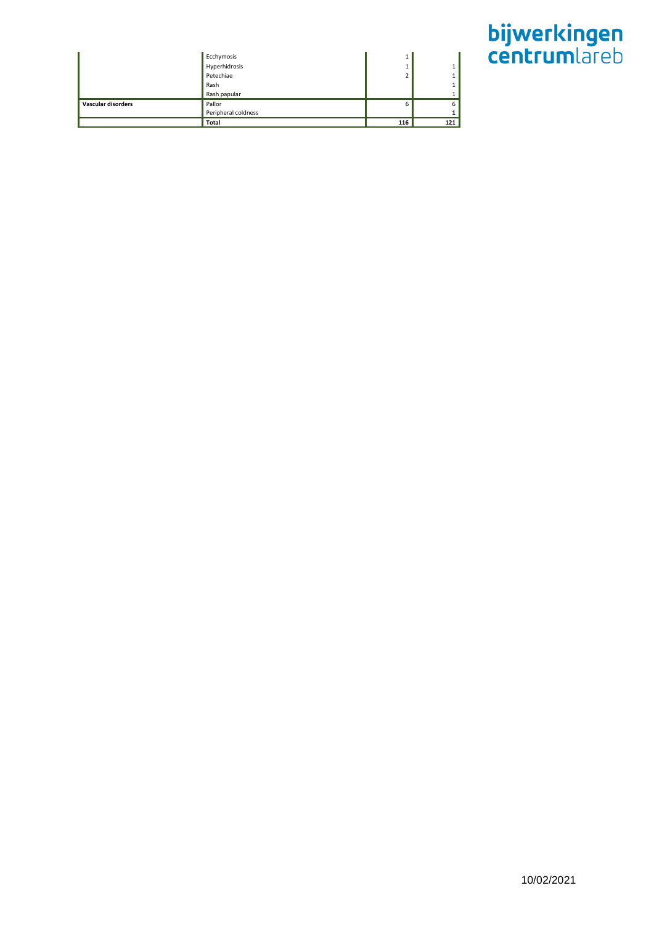|                    |                             | ш              |     |
|--------------------|-----------------------------|----------------|-----|
|                    | Ecchymosis<br>Hyperhidrosis |                |     |
|                    | Petechiae                   | $\overline{ }$ |     |
|                    | Rash                        |                |     |
|                    | Rash papular                |                |     |
| Vascular disorders | Pallor                      | 6              | 6   |
|                    | Peripheral coldness         |                |     |
|                    | Total                       | 116            | 121 |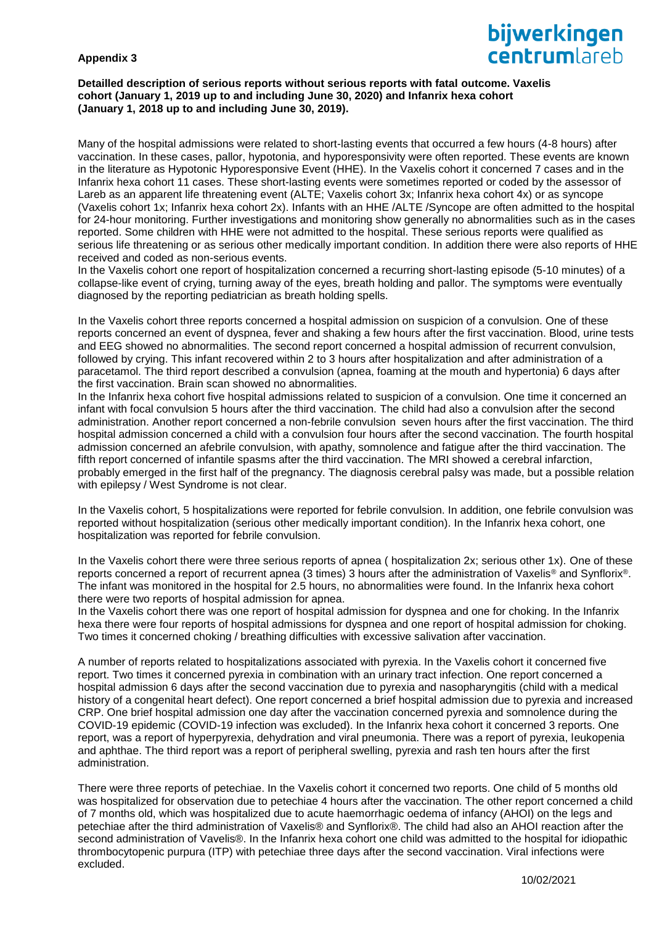# **Appendix 3**

# bijwerkingen **Centrum** areh

### **Detailled description of serious reports without serious reports with fatal outcome. Vaxelis cohort (January 1, 2019 up to and including June 30, 2020) and Infanrix hexa cohort (January 1, 2018 up to and including June 30, 2019).**

Many of the hospital admissions were related to short-lasting events that occurred a few hours (4-8 hours) after vaccination. In these cases, pallor, hypotonia, and hyporesponsivity were often reported. These events are known in the literature as Hypotonic Hyporesponsive Event (HHE). In the Vaxelis cohort it concerned 7 cases and in the Infanrix hexa cohort 11 cases. These short-lasting events were sometimes reported or coded by the assessor of Lareb as an apparent life threatening event (ALTE; Vaxelis cohort 3x; Infanrix hexa cohort 4x) or as syncope (Vaxelis cohort 1x; Infanrix hexa cohort 2x). Infants with an HHE /ALTE /Syncope are often admitted to the hospital for 24-hour monitoring. Further investigations and monitoring show generally no abnormalities such as in the cases reported. Some children with HHE were not admitted to the hospital. These serious reports were qualified as serious life threatening or as serious other medically important condition. In addition there were also reports of HHE received and coded as non-serious events.

In the Vaxelis cohort one report of hospitalization concerned a recurring short-lasting episode (5-10 minutes) of a collapse-like event of crying, turning away of the eyes, breath holding and pallor. The symptoms were eventually diagnosed by the reporting pediatrician as breath holding spells.

In the Vaxelis cohort three reports concerned a hospital admission on suspicion of a convulsion. One of these reports concerned an event of dyspnea, fever and shaking a few hours after the first vaccination. Blood, urine tests and EEG showed no abnormalities. The second report concerned a hospital admission of recurrent convulsion, followed by crying. This infant recovered within 2 to 3 hours after hospitalization and after administration of a paracetamol. The third report described a convulsion (apnea, foaming at the mouth and hypertonia) 6 days after the first vaccination. Brain scan showed no abnormalities.

In the Infanrix hexa cohort five hospital admissions related to suspicion of a convulsion. One time it concerned an infant with focal convulsion 5 hours after the third vaccination. The child had also a convulsion after the second administration. Another report concerned a non-febrile convulsion seven hours after the first vaccination. The third hospital admission concerned a child with a convulsion four hours after the second vaccination. The fourth hospital admission concerned an afebrile convulsion, with apathy, somnolence and fatigue after the third vaccination. The fifth report concerned of infantile spasms after the third vaccination. The MRI showed a cerebral infarction, probably emerged in the first half of the pregnancy. The diagnosis cerebral palsy was made, but a possible relation with epilepsy / West Syndrome is not clear.

In the Vaxelis cohort, 5 hospitalizations were reported for febrile convulsion. In addition, one febrile convulsion was reported without hospitalization (serious other medically important condition). In the Infanrix hexa cohort, one hospitalization was reported for febrile convulsion.

In the Vaxelis cohort there were three serious reports of apnea ( hospitalization 2x; serious other 1x). One of these reports concerned a report of recurrent apnea (3 times) 3 hours after the administration of Vaxelis® and Synflorix®. The infant was monitored in the hospital for 2.5 hours, no abnormalities were found. In the Infanrix hexa cohort there were two reports of hospital admission for apnea.

In the Vaxelis cohort there was one report of hospital admission for dyspnea and one for choking. In the Infanrix hexa there were four reports of hospital admissions for dyspnea and one report of hospital admission for choking. Two times it concerned choking / breathing difficulties with excessive salivation after vaccination.

A number of reports related to hospitalizations associated with pyrexia. In the Vaxelis cohort it concerned five report. Two times it concerned pyrexia in combination with an urinary tract infection. One report concerned a hospital admission 6 days after the second vaccination due to pyrexia and nasopharyngitis (child with a medical history of a congenital heart defect). One report concerned a brief hospital admission due to pyrexia and increased CRP. One brief hospital admission one day after the vaccination concerned pyrexia and somnolence during the COVID-19 epidemic (COVID-19 infection was excluded). In the Infanrix hexa cohort it concerned 3 reports. One report, was a report of hyperpyrexia, dehydration and viral pneumonia. There was a report of pyrexia, leukopenia and aphthae. The third report was a report of peripheral swelling, pyrexia and rash ten hours after the first administration.

There were three reports of petechiae. In the Vaxelis cohort it concerned two reports. One child of 5 months old was hospitalized for observation due to petechiae 4 hours after the vaccination. The other report concerned a child of 7 months old, which was hospitalized due to acute haemorrhagic oedema of infancy (AHOI) on the legs and petechiae after the third administration of Vaxelis® and Synflorix®. The child had also an AHOI reaction after the second administration of Vavelis®. In the Infanrix hexa cohort one child was admitted to the hospital for idiopathic thrombocytopenic purpura (ITP) with petechiae three days after the second vaccination. Viral infections were excluded.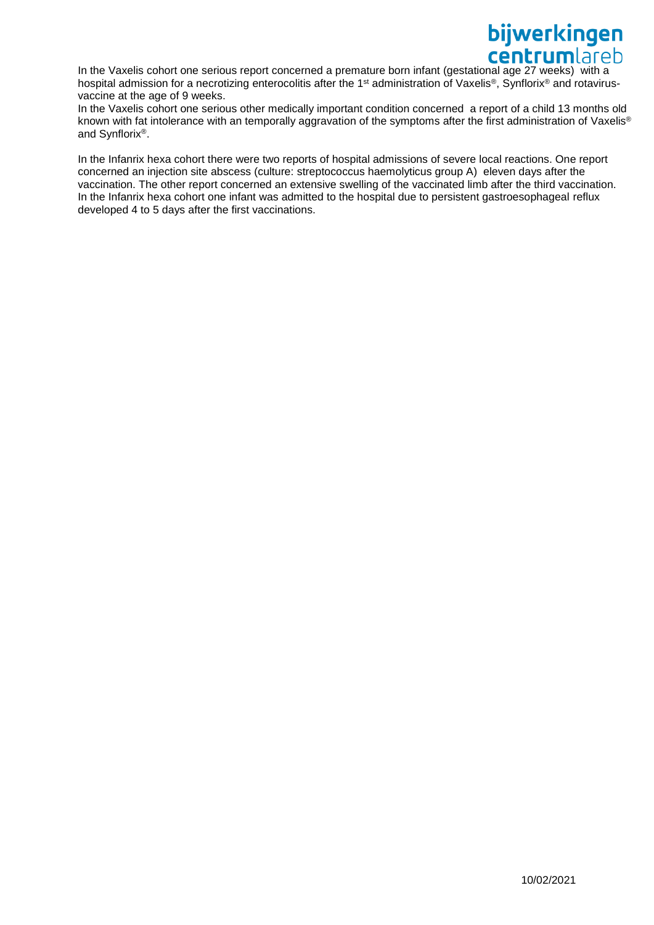In the Vaxelis cohort one serious report concerned a premature born infant (gestational age 27 weeks) with a hospital admission for a necrotizing enterocolitis after the 1<sup>st</sup> administration of Vaxelis<sup>®</sup>, Synflorix<sup>®</sup> and rotavirusvaccine at the age of 9 weeks.

In the Vaxelis cohort one serious other medically important condition concerned a report of a child 13 months old known with fat intolerance with an temporally aggravation of the symptoms after the first administration of Vaxelis® and Synflorix®.

In the Infanrix hexa cohort there were two reports of hospital admissions of severe local reactions. One report concerned an injection site abscess (culture: streptococcus haemolyticus group A) eleven days after the vaccination. The other report concerned an extensive swelling of the vaccinated limb after the third vaccination. In the Infanrix hexa cohort one infant was admitted to the hospital due to persistent gastroesophageal reflux developed 4 to 5 days after the first vaccinations.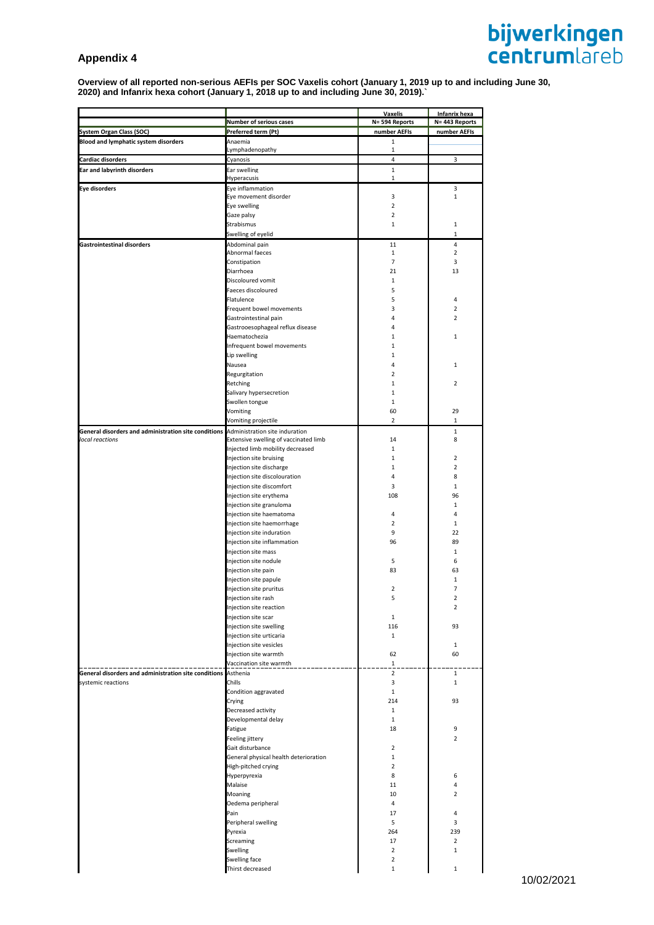# **Appendix 4**

# **bijwerkingen**<br>centrumlareb

**Overview of all reported non-serious AEFIs per SOC Vaxelis cohort (January 1, 2019 up to and including June 30, 2020) and Infanrix hexa cohort (January 1, 2018 up to and including June 30, 2019).`**

|                                                                                     |                                                              | <b>Vaxelis</b>                | <b>Infanrix hexa</b> |
|-------------------------------------------------------------------------------------|--------------------------------------------------------------|-------------------------------|----------------------|
|                                                                                     | <b>Number of serious cases</b>                               | N= 594 Reports                | N= 443 Reports       |
| System Organ Class (SOC)                                                            | Preferred term (Pt)                                          | number AEFIs                  | number AEFIs         |
| <b>Blood and lymphatic system disorders</b>                                         | Anaemia                                                      | $\mathbf 1$                   |                      |
|                                                                                     | Lymphadenopathy                                              | 1                             |                      |
| <b>Cardiac disorders</b>                                                            | Cyanosis                                                     | 4                             | 3                    |
| <b>Ear and labyrinth disorders</b>                                                  | Ear swelling<br>Hyperacusis                                  | $\mathbf 1$<br>$\mathbf{1}$   |                      |
| <b>Eye disorders</b>                                                                | Eye inflammation                                             |                               | 3                    |
|                                                                                     | Eye movement disorder                                        | 3                             | $\mathbf{1}$         |
|                                                                                     | Eye swelling                                                 | $\overline{2}$                |                      |
|                                                                                     | Gaze palsy                                                   | $\overline{2}$                |                      |
|                                                                                     | Strabismus                                                   | $\mathbf 1$                   | $\mathbf{1}$         |
|                                                                                     | Swelling of eyelid                                           |                               | 1                    |
| <b>Gastrointestinal disorders</b>                                                   | Abdominal pain                                               | 11                            | 4                    |
|                                                                                     | Abnormal faeces                                              | $\mathbf{1}$                  | $\overline{2}$       |
|                                                                                     | Constipation                                                 | $\overline{7}$                | 3                    |
|                                                                                     | Diarrhoea                                                    | 21                            | 13                   |
|                                                                                     | Discoloured vomit<br>Faeces discoloured                      | 1<br>5                        |                      |
|                                                                                     | Flatulence                                                   | 5                             | 4                    |
|                                                                                     | Frequent bowel movements                                     | 3                             | $\overline{2}$       |
|                                                                                     | Gastrointestinal pain                                        | 4                             | $\overline{2}$       |
|                                                                                     | Gastrooesophageal reflux disease                             | 4                             |                      |
|                                                                                     | Haematochezia                                                | 1                             | $\mathbf{1}$         |
|                                                                                     | Infrequent bowel movements                                   | 1                             |                      |
|                                                                                     | Lip swelling                                                 | 1                             |                      |
|                                                                                     | Nausea                                                       | $\overline{4}$                | $\mathbf{1}$         |
|                                                                                     | Regurgitation                                                | $\overline{2}$                |                      |
|                                                                                     | Retching                                                     | 1                             | $\overline{2}$       |
|                                                                                     | Salivary hypersecretion                                      | $\mathbf 1$                   |                      |
|                                                                                     | Swollen tongue                                               | $\mathbf 1$<br>60             | 29                   |
|                                                                                     | Vomiting<br>Vomiting projectile                              | $\overline{2}$                | 1                    |
| General disorders and administration site conditions Administration site induration |                                                              |                               | $\mathbf{1}$         |
| local reactions                                                                     | Extensive swelling of vaccinated limb                        | 14                            | 8                    |
|                                                                                     | Injected limb mobility decreased                             | $\mathbf{1}$                  |                      |
|                                                                                     | Injection site bruising                                      | $\mathbf{1}$                  | $\overline{2}$       |
|                                                                                     | Injection site discharge                                     | $\mathbf 1$                   | $\overline{2}$       |
|                                                                                     | Injection site discolouration                                | $\overline{4}$                | 8                    |
|                                                                                     | Injection site discomfort                                    | 3                             | $\mathbf{1}$         |
|                                                                                     | Injection site erythema                                      | 108                           | 96                   |
|                                                                                     | Injection site granuloma                                     |                               | 1                    |
|                                                                                     | Injection site haematoma                                     | 4                             | 4                    |
|                                                                                     | Injection site haemorrhage<br>Injection site induration      | $\overline{2}$<br>9           | 1<br>22              |
|                                                                                     | Injection site inflammation                                  | 96                            | 89                   |
|                                                                                     | Injection site mass                                          |                               | 1                    |
|                                                                                     | Injection site nodule                                        | 5                             | 6                    |
|                                                                                     | Injection site pain                                          | 83                            | 63                   |
|                                                                                     | Injection site papule                                        |                               | 1                    |
|                                                                                     | Injection site pruritus                                      | $\mathbf 2$                   | $\overline{7}$       |
|                                                                                     | njection site rash                                           | 5                             | $\overline{a}$       |
|                                                                                     | Injection site reaction                                      |                               | $\overline{2}$       |
|                                                                                     | Injection site scar                                          | 1                             |                      |
|                                                                                     | Injection site swelling                                      | 116                           | 93                   |
|                                                                                     | Injection site urticaria                                     | $\mathbf{1}$                  | $\mathbf{1}$         |
|                                                                                     | Injection site vesicles<br>Injection site warmth             | 62                            | 60                   |
|                                                                                     | Vaccination site warmth                                      | $\mathbf 1$                   |                      |
| General disorders and administration site conditions Asthenia                       |                                                              | $\overline{2}$                | 1                    |
| systemic reactions                                                                  | Chills                                                       | 3                             | 1                    |
|                                                                                     | Condition aggravated                                         | $\mathbf{1}$                  |                      |
|                                                                                     | Crying                                                       | 214                           | 93                   |
|                                                                                     | Decreased activity                                           | $\mathbf{1}$                  |                      |
|                                                                                     | Developmental delay                                          | $\mathbf{1}$                  |                      |
|                                                                                     | Fatigue                                                      | 18                            | 9                    |
|                                                                                     | Feeling jittery                                              |                               | $\overline{2}$       |
|                                                                                     | Gait disturbance                                             | $\overline{2}$                |                      |
|                                                                                     | General physical health deterioration<br>High-pitched crying | $\mathbf 1$<br>$\overline{2}$ |                      |
|                                                                                     | Hyperpyrexia                                                 | 8                             | 6                    |
|                                                                                     | Malaise                                                      | 11                            | 4                    |
|                                                                                     | Moaning                                                      | 10                            | $\overline{2}$       |
|                                                                                     | Oedema peripheral                                            | 4                             |                      |
|                                                                                     | Pain                                                         | 17                            | 4                    |
|                                                                                     | Peripheral swelling                                          | 5                             | 3                    |
|                                                                                     | Pyrexia                                                      | 264                           | 239                  |
|                                                                                     | Screaming                                                    | 17                            | $\overline{2}$       |
|                                                                                     | Swelling                                                     | $\overline{2}$                | $\mathbf{1}$         |
|                                                                                     | Swelling face                                                | $\mathbf 2$                   |                      |
|                                                                                     | Thirst decreased                                             | $\mathbf 1$                   | $\mathbf{1}$         |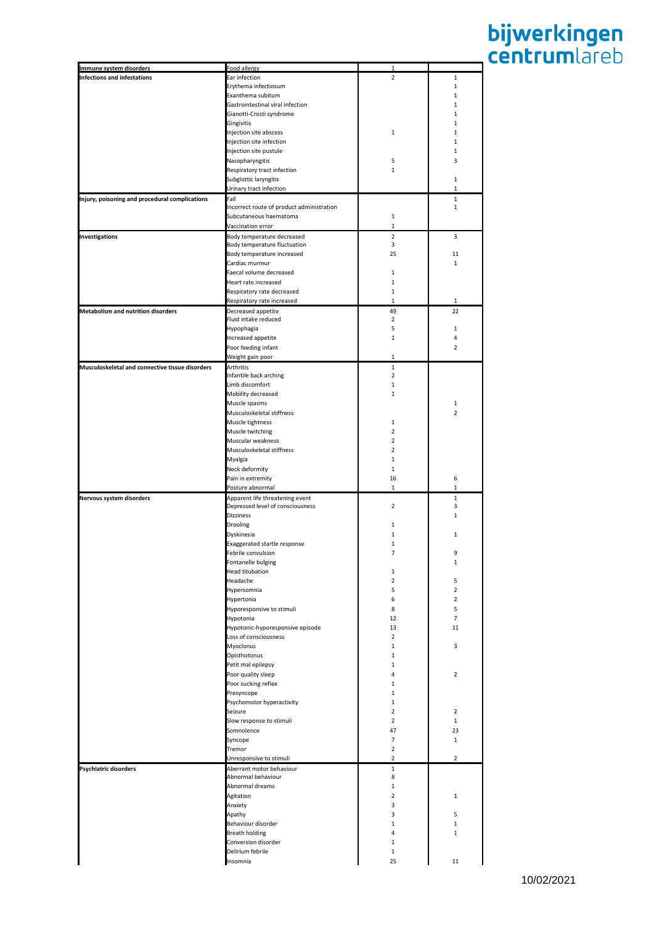| Immune system disorders                         | Food allergy                              |                |                |
|-------------------------------------------------|-------------------------------------------|----------------|----------------|
| <b>Infections and infestations</b>              | Ear infection                             | $\overline{2}$ | $\mathbf{1}$   |
|                                                 | Erythema infectiosum                      |                | $\mathbf{1}$   |
|                                                 | Exanthema subitum                         |                | $\mathbf{1}$   |
|                                                 |                                           |                |                |
|                                                 | Gastrointestinal viral infection          |                | 1              |
|                                                 | Gianotti-Crosti syndrome                  |                | $\mathbf{1}$   |
|                                                 | Gingivitis                                |                | $\mathbf{1}$   |
|                                                 | Injection site abscess                    | 1              | 1              |
|                                                 | Injection site infection                  |                | $\mathbf{1}$   |
|                                                 | Injection site pustule                    |                | $\mathbf{1}$   |
|                                                 |                                           |                |                |
|                                                 | Nasopharyngitis                           | 5              | 3              |
|                                                 | Respiratory tract infection               | $\mathbf{1}$   |                |
|                                                 | Subglottic laryngitis                     |                | $\mathbf{1}$   |
|                                                 | Urinary tract infection                   |                | 1              |
| Injury, poisoning and procedural complications  | Fall                                      |                | $\mathbf{1}$   |
|                                                 | Incorrect route of product administration |                | $\mathbf{1}$   |
|                                                 |                                           |                |                |
|                                                 | Subcutaneous haematoma                    | $\mathbf{1}$   |                |
|                                                 | Vaccination error                         | 1              |                |
| <b>Investigations</b>                           | Body temperature decreased                | $\overline{2}$ | 3              |
|                                                 | Body temperature fluctuation              | 3              |                |
|                                                 | Body temperature increased                | 25             | 11             |
|                                                 | Cardiac murmur                            |                | $\mathbf{1}$   |
|                                                 |                                           |                |                |
|                                                 | Faecal volume decreased                   | $\mathbf{1}$   |                |
|                                                 | Heart rate increased                      | $\mathbf{1}$   |                |
|                                                 | Respiratory rate decreased                | $\mathbf{1}$   |                |
|                                                 | Respiratory rate increased                | 1              | $\mathbf{1}$   |
| <b>Metabolism and nutrition disorders</b>       | Decreased appetite                        | 49             | 22             |
|                                                 | Fluid intake reduced                      | $\overline{2}$ |                |
|                                                 |                                           |                |                |
|                                                 | Hypophagia                                | 5              | 1              |
|                                                 | Increased appetite                        | $\mathbf{1}$   | 4              |
|                                                 | Poor feeding infant                       |                | $\overline{2}$ |
|                                                 | Weight gain poor                          | 1              |                |
| Musculoskeletal and connective tissue disorders | Arthritis                                 | $\mathbf{1}$   |                |
|                                                 |                                           | $\overline{2}$ |                |
|                                                 | Infantile back arching                    |                |                |
|                                                 | Limb discomfort                           | $\mathbf{1}$   |                |
|                                                 | Mobility decreased                        | $\mathbf{1}$   |                |
|                                                 | Muscle spasms                             |                | 1              |
|                                                 | Musculoskeletal stiffness                 |                | 2              |
|                                                 | Muscle tightness                          | $\mathbf{1}$   |                |
|                                                 |                                           |                |                |
|                                                 | Muscle twitching                          | $\overline{2}$ |                |
|                                                 | Muscular weakness                         | 2              |                |
|                                                 | Musculoskeletal stiffness                 | $\overline{2}$ |                |
|                                                 | Myalgia                                   | $\mathbf{1}$   |                |
|                                                 | Neck deformity                            | $\mathbf{1}$   |                |
|                                                 |                                           |                |                |
|                                                 | Pain in extremity                         | 16             | 6              |
|                                                 | Posture abnormal                          | 1              | $\mathbf{1}$   |
| Nervous system disorders                        | Apparent life threatening event           |                | $\mathbf{1}$   |
|                                                 | Depressed level of consciousness          | 2              | 3              |
|                                                 | <b>Dizziness</b>                          |                | $\mathbf{1}$   |
|                                                 | Drooling                                  | 1              |                |
|                                                 | Dyskinesia                                | $\mathbf{1}$   | 1              |
|                                                 |                                           |                |                |
|                                                 | Exaggerated startle response              | 1              |                |
|                                                 | Febrile convulsion                        | 7              | 9              |
|                                                 | Fontanelle bulging                        |                | $\mathbf{1}$   |
|                                                 | <b>Head titubation</b>                    | $\mathbf{1}$   |                |
|                                                 | Headache                                  | $\overline{2}$ | 5              |
|                                                 |                                           | 5              | $\overline{2}$ |
|                                                 | Hypersomnia                               |                |                |
|                                                 | Hypertonia                                | 6              | $\overline{2}$ |
|                                                 | Hyporesponsive to stimuli                 | 8              | 5              |
|                                                 | Hypotonia                                 | 12             | $\overline{7}$ |
|                                                 | Hypotonic-hyporesponsive episode          | 13             | 11             |
|                                                 | Loss of consciousness                     | $\overline{2}$ |                |
|                                                 | Myoclonus                                 | $\mathbf{1}$   | 3              |
|                                                 |                                           |                |                |
|                                                 | Opisthotonus                              | 1              |                |
|                                                 | Petit mal epilepsy                        | $\mathbf{1}$   |                |
|                                                 | Poor quality sleep                        | 4              | $\overline{2}$ |
|                                                 | Poor sucking reflex                       | $\mathbf 1$    |                |
|                                                 | Presyncope                                | $\mathbf{1}$   |                |
|                                                 | Psychomotor hyperactivity                 | $\mathbf{1}$   |                |
|                                                 |                                           |                |                |
|                                                 | Seizure                                   | $\overline{2}$ | $\overline{2}$ |
|                                                 | Slow response to stimuli                  | $\overline{2}$ | $\mathbf{1}$   |
|                                                 | Somnolence                                | 47             | 23             |
|                                                 | Syncope                                   | $\overline{7}$ | $\mathbf{1}$   |
|                                                 | Tremor                                    | $\overline{2}$ |                |
|                                                 | Unresponsive to stimuli                   | $\overline{2}$ | $\overline{2}$ |
|                                                 |                                           |                |                |
| Psychiatric disorders                           | Aberrant motor behaviour                  | $\mathbf 1$    |                |
|                                                 | Abnormal behaviour                        | 8              |                |
|                                                 | Abnormal dreams                           | $\mathbf{1}$   |                |
|                                                 | Agitation                                 | $\overline{2}$ | $\mathbf{1}$   |
|                                                 | Anxiety                                   | 3              |                |
|                                                 |                                           | 3              | 5              |
|                                                 | Apathy                                    |                |                |
|                                                 | Behaviour disorder                        | $\mathbf{1}$   | $\mathbf{1}$   |
|                                                 | <b>Breath holding</b>                     | 4              | 1              |
|                                                 | Conversion disorder                       | $\mathbf{1}$   |                |
|                                                 | Delirium febrile                          | 1              |                |
|                                                 | Insomnia                                  | 25             | 11             |
|                                                 |                                           |                |                |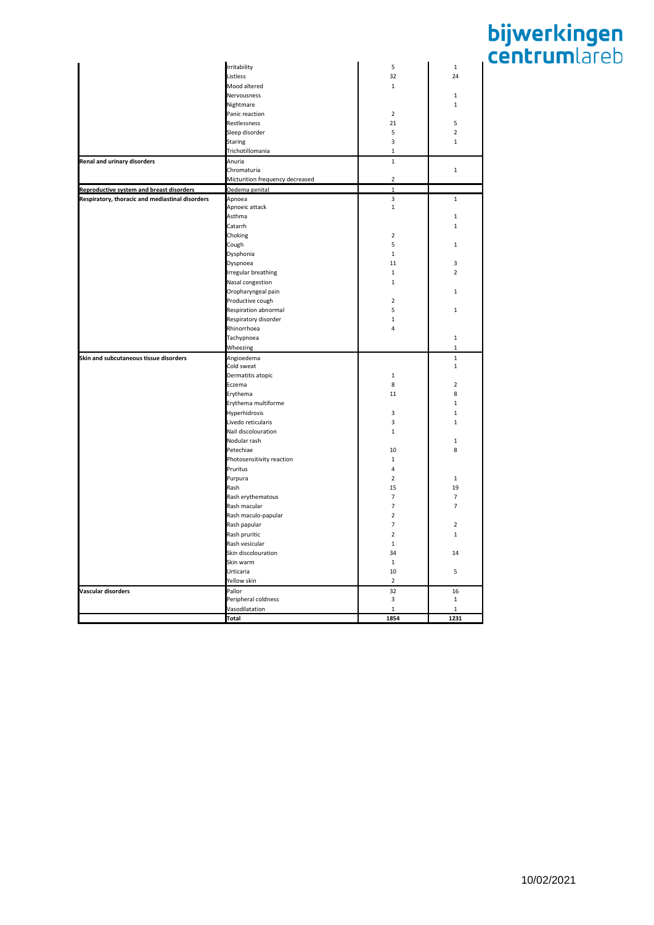|                                                 | Irritability                    | 5              | $\mathbf 1$    |
|-------------------------------------------------|---------------------------------|----------------|----------------|
|                                                 | Listless                        | 32             | 24             |
|                                                 | Mood altered                    | $\mathbf 1$    |                |
|                                                 | Nervousness                     |                | $\mathbf 1$    |
|                                                 |                                 |                |                |
|                                                 | Nightmare                       |                | $\mathbf 1$    |
|                                                 | Panic reaction                  | $\overline{2}$ |                |
|                                                 | Restlessness                    | 21             | 5              |
|                                                 | Sleep disorder                  | 5              | $\overline{2}$ |
|                                                 | <b>Staring</b>                  | 3              | $\mathbf{1}$   |
|                                                 | Trichotillomania                | $\mathbf 1$    |                |
| Renal and urinary disorders                     | Anuria                          | $\mathbf{1}$   |                |
|                                                 | Chromaturia                     |                | $\mathbf 1$    |
|                                                 | Micturition frequency decreased | $\mathbf 2$    |                |
| Reproductive system and breast disorders        | Oedema genital                  | $\mathbf 1$    |                |
| Respiratory, thoracic and mediastinal disorders | Apnoea                          | 3              | $\mathbf 1$    |
|                                                 | Apnoeic attack                  | $\mathbf{1}$   |                |
|                                                 | Asthma                          |                | $\mathbf 1$    |
|                                                 | Catarrh                         |                | $\mathbf 1$    |
|                                                 | Choking                         | $\overline{2}$ |                |
|                                                 | Cough                           | 5              | $\mathbf{1}$   |
|                                                 | Dysphonia                       | $\mathbf{1}$   |                |
|                                                 | Dyspnoea                        | 11             | 3              |
|                                                 | Irregular breathing             | $\mathbf{1}$   | $\overline{2}$ |
|                                                 | Nasal congestion                | $\mathbf 1$    |                |
|                                                 | Oropharyngeal pain              |                | $\mathbf 1$    |
|                                                 | Productive cough                | $\overline{2}$ |                |
|                                                 | Respiration abnormal            | 5              | $\mathbf 1$    |
|                                                 | Respiratory disorder            | $\mathbf 1$    |                |
|                                                 |                                 | $\overline{4}$ |                |
|                                                 | Rhinorrhoea                     |                |                |
|                                                 | Tachypnoea                      |                | $\mathbf 1$    |
|                                                 | Wheezing                        |                | $\mathbf{1}$   |
| Skin and subcutaneous tissue disorders          | Angioedema                      |                | $\mathbf 1$    |
|                                                 | Cold sweat                      |                | $\mathbf 1$    |
|                                                 | Dermatitis atopic               | $\mathbf 1$    |                |
|                                                 | Eczema                          | 8              | $\mathbf 2$    |
|                                                 | Erythema                        | 11             | 8              |
|                                                 | Erythema multiforme             |                | $\mathbf 1$    |
|                                                 | Hyperhidrosis                   | 3              | $\mathbf 1$    |
|                                                 | Livedo reticularis              | 3              | $\mathbf{1}$   |
|                                                 | Nail discolouration             | $\mathbf 1$    |                |
|                                                 | Nodular rash                    |                | $\mathbf 1$    |
|                                                 | Petechiae                       | 10             | 8              |
|                                                 | Photosensitivity reaction       | $\mathbf 1$    |                |
|                                                 | Pruritus                        | 4              |                |
|                                                 | Purpura                         | $\overline{2}$ | $\mathbf 1$    |
|                                                 | Rash                            | 15             | 19             |
|                                                 | Rash erythematous               | $\overline{7}$ | $\overline{7}$ |
|                                                 | Rash macular                    | $\overline{7}$ | $\overline{7}$ |
|                                                 | Rash maculo-papular             | $\mathbf 2$    |                |
|                                                 | Rash papular                    | $\overline{7}$ | $\mathbf 2$    |
|                                                 | Rash pruritic                   | $\overline{2}$ | 1              |
|                                                 | Rash vesicular                  | $\mathbf 1$    |                |
|                                                 | Skin discolouration             | 34             | 14             |
|                                                 | Skin warm                       | $\mathbf 1$    |                |
|                                                 | Urticaria                       | 10             | 5              |
|                                                 |                                 | $\overline{2}$ |                |
|                                                 | Yellow skin                     |                |                |
| Vascular disorders                              | Pallor                          | 32             | 16             |
|                                                 | Peripheral coldness             | 3              | $\mathbf{1}$   |
|                                                 | Vasodilatation                  | $\mathbf{1}$   | $\mathbf{1}$   |
|                                                 | Total                           | 1854           | 1231           |
|                                                 |                                 |                |                |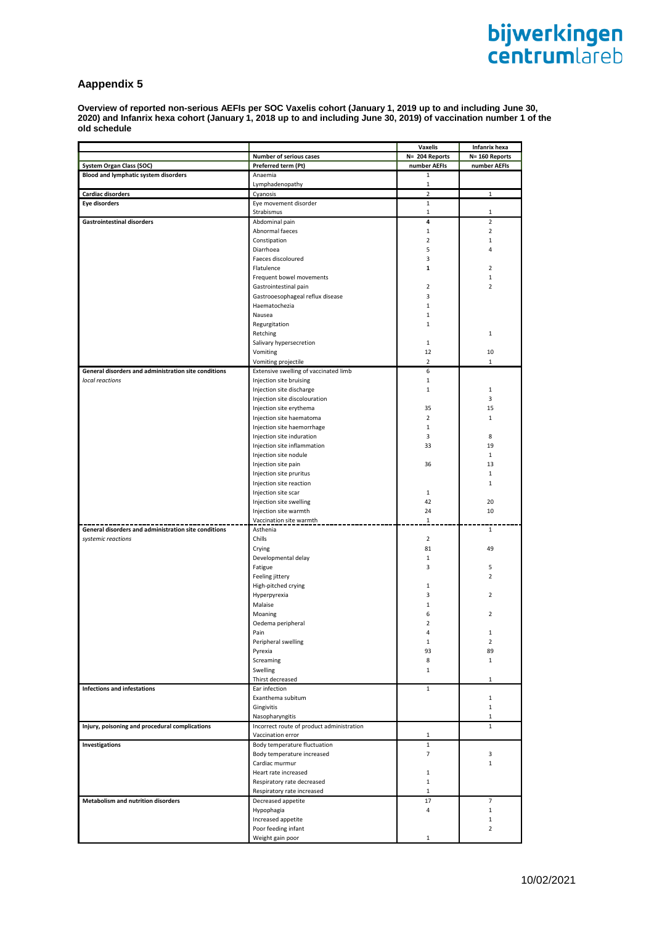# **Aappendix 5**

**Overview of reported non-serious AEFIs per SOC Vaxelis cohort (January 1, 2019 up to and including June 30, 2020) and Infanrix hexa cohort (January 1, 2018 up to and including June 30, 2019) of vaccination number 1 of the old schedule**

|                                                      |                                           | Vaxelis        | Infanrix hexa  |
|------------------------------------------------------|-------------------------------------------|----------------|----------------|
|                                                      | Number of serious cases                   | N= 204 Reports | N= 160 Reports |
| <b>System Organ Class (SOC)</b>                      | Preferred term (Pt)                       | number AEFIs   | number AEFIs   |
| <b>Blood and lymphatic system disorders</b>          | Anaemia                                   | 1              |                |
|                                                      | Lymphadenopathy                           | $\mathbf{1}$   |                |
| Cardiac disorders                                    | Cyanosis                                  | $\overline{2}$ | 1              |
| <b>Eye disorders</b>                                 | Eye movement disorder                     | $\mathbf 1$    |                |
|                                                      | Strabismus                                | $\mathbf{1}$   | $\mathbf{1}$   |
| <b>Gastrointestinal disorders</b>                    | Abdominal pain                            | 4              | $\overline{2}$ |
|                                                      | Abnormal faeces                           | $\mathbf{1}$   | $\overline{2}$ |
|                                                      | Constipation                              | $\overline{2}$ | $\mathbf{1}$   |
|                                                      | Diarrhoea                                 | 5              | 4              |
|                                                      | Faeces discoloured                        | 3              |                |
|                                                      | Flatulence                                | $\mathbf{1}$   | $\overline{2}$ |
|                                                      | Frequent bowel movements                  |                | 1              |
|                                                      | Gastrointestinal pain                     | $\overline{2}$ | $\overline{2}$ |
|                                                      | Gastrooesophageal reflux disease          | 3              |                |
|                                                      | Haematochezia                             | $\mathbf{1}$   |                |
|                                                      | Nausea                                    | $\mathbf{1}$   |                |
|                                                      | Regurgitation                             | $\mathbf{1}$   |                |
|                                                      | Retching                                  |                | $\mathbf{1}$   |
|                                                      | Salivary hypersecretion                   | $\mathbf{1}$   |                |
|                                                      | Vomiting                                  | 12             | 10             |
|                                                      | Vomiting projectile                       | $\overline{2}$ | $\mathbf{1}$   |
| General disorders and administration site conditions | Extensive swelling of vaccinated limb     | 6              |                |
| local reactions                                      | Injection site bruising                   | $\mathbf{1}$   |                |
|                                                      | Injection site discharge                  | $\mathbf{1}$   | 1              |
|                                                      | Injection site discolouration             |                | 3              |
|                                                      | Injection site erythema                   | 35             | 15             |
|                                                      | Injection site haematoma                  | $\overline{2}$ | $\mathbf{1}$   |
|                                                      | Injection site haemorrhage                | $\mathbf{1}$   |                |
|                                                      | Injection site induration                 | 3              | 8              |
|                                                      | Injection site inflammation               | 33             | 19             |
|                                                      | Injection site nodule                     |                | $\mathbf{1}$   |
|                                                      | Injection site pain                       | 36             | 13             |
|                                                      | Injection site pruritus                   |                | 1              |
|                                                      | Injection site reaction                   |                | $\mathbf{1}$   |
|                                                      | Injection site scar                       | $\mathbf{1}$   |                |
|                                                      | Injection site swelling                   | 42             | 20             |
|                                                      | Injection site warmth                     | 24             | 10             |
|                                                      | Vaccination site warmth                   | $\overline{1}$ |                |
| General disorders and administration site conditions | Asthenia                                  |                | 1              |
| systemic reactions                                   | Chills                                    | $\overline{2}$ |                |
|                                                      | Crying                                    | 81             | 49             |
|                                                      | Developmental delay                       | $\mathbf{1}$   |                |
|                                                      | Fatigue                                   | 3              | 5              |
|                                                      | Feeling jittery                           |                | $\overline{2}$ |
|                                                      | High-pitched crying                       | $\mathbf{1}$   |                |
|                                                      | Hyperpyrexia                              | 3              | $\overline{2}$ |
|                                                      | Malaise                                   | $\mathbf{1}$   |                |
|                                                      | Moaning                                   | 6              | $\overline{2}$ |
|                                                      | Oedema peripheral                         | $\overline{2}$ |                |
|                                                      | Pain                                      | 4              | 1              |
|                                                      | Peripheral swelling                       | $\mathbf{1}$   | $\overline{2}$ |
|                                                      | Pyrexia                                   | 93             | 89             |
|                                                      | Screaming                                 | 8              | $\mathbf{1}$   |
|                                                      | Swelling                                  | 1              |                |
|                                                      | Thirst decreased                          |                | $\mathbf{1}$   |
| <b>Infections and infestations</b>                   | Ear infection                             | $\mathbf{1}$   |                |
|                                                      | Exanthema subitum                         |                | $\mathbf{1}$   |
|                                                      | Gingivitis                                |                | $\mathbf{1}$   |
|                                                      | Nasopharyngitis                           |                | 1              |
| Injury, poisoning and procedural complications       | Incorrect route of product administration |                | $\mathbf{1}$   |
|                                                      | Vaccination error                         | 1              |                |
| Investigations                                       | Body temperature fluctuation              | $\mathbf{1}$   |                |
|                                                      | Body temperature increased                | 7              | 3              |
|                                                      | Cardiac murmur                            |                | $\mathbf{1}$   |
|                                                      | Heart rate increased                      | $\mathbf{1}$   |                |
|                                                      | Respiratory rate decreased                | $\mathbf{1}$   |                |
|                                                      | Respiratory rate increased                | $\mathbf{1}$   |                |
| <b>Metabolism and nutrition disorders</b>            | Decreased appetite                        | 17             | $\overline{7}$ |
|                                                      | Hypophagia                                | 4              | $\mathbf{1}$   |
|                                                      | Increased appetite                        |                | $\mathbf{1}$   |
|                                                      | Poor feeding infant                       |                | $\overline{2}$ |
|                                                      | Weight gain poor                          | $\mathbf{1}$   |                |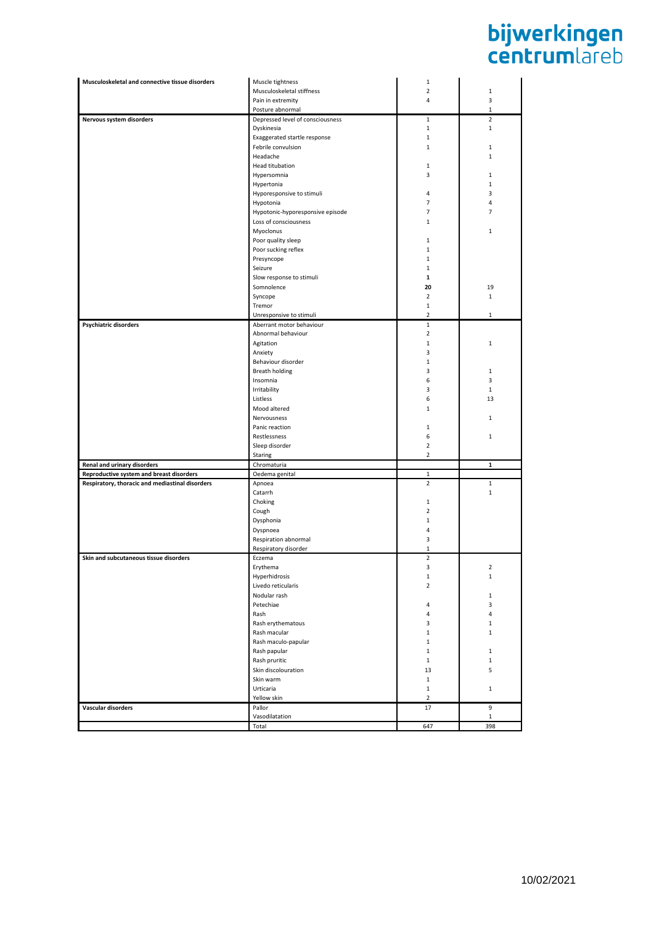| Musculoskeletal and connective tissue disorders | Muscle tightness                                    | 1                             |                     |
|-------------------------------------------------|-----------------------------------------------------|-------------------------------|---------------------|
|                                                 | Musculoskeletal stiffness                           | $\overline{2}$                | $1\,$               |
|                                                 | Pain in extremity                                   | 4                             | 3                   |
|                                                 | Posture abnormal                                    |                               | $\mathbf{1}$        |
| Nervous system disorders                        | Depressed level of consciousness                    | $\mathbf{1}$                  | $\overline{2}$      |
|                                                 | Dyskinesia                                          | $\mathbf{1}$                  | $\mathbf{1}$        |
|                                                 | Exaggerated startle response                        | $\mathbf{1}$                  |                     |
|                                                 | Febrile convulsion                                  | $1\,$                         | $1\,$               |
|                                                 | Headache                                            |                               | $\mathbf{1}$        |
|                                                 | Head titubation                                     | 1                             |                     |
|                                                 | Hypersomnia                                         | 3                             | $\mathbf{1}$        |
|                                                 | Hypertonia                                          |                               | $\mathbf{1}$        |
|                                                 | Hyporesponsive to stimuli                           | $\overline{4}$                | 3                   |
|                                                 | Hypotonia                                           | $\overline{7}$                | 4                   |
|                                                 | Hypotonic-hyporesponsive episode                    | 7                             | 7                   |
|                                                 | Loss of consciousness                               | 1                             | $\mathbf{1}$        |
|                                                 | Myoclonus                                           |                               |                     |
|                                                 | Poor quality sleep                                  | $1\,$                         |                     |
|                                                 | Poor sucking reflex                                 | $\mathbf{1}$                  |                     |
|                                                 | Presyncope                                          | 1                             |                     |
|                                                 | Seizure                                             | 1                             |                     |
|                                                 | Slow response to stimuli                            | 1<br>20                       |                     |
|                                                 | Somnolence                                          |                               | 19                  |
|                                                 | Syncope                                             | $\overline{2}$                | $\mathbf{1}$        |
|                                                 | Tremor                                              | $1\,$                         |                     |
|                                                 | Unresponsive to stimuli<br>Aberrant motor behaviour | $\overline{2}$<br>$\,1\,$     | 1                   |
| <b>Psychiatric disorders</b>                    | Abnormal behaviour                                  | $\overline{2}$                |                     |
|                                                 | Agitation                                           | $\,1\,$                       | 1                   |
|                                                 | Anxiety                                             | 3                             |                     |
|                                                 | Behaviour disorder                                  | $\mathbf{1}$                  |                     |
|                                                 | Breath holding                                      | 3                             | 1                   |
|                                                 | Insomnia                                            | 6                             | 3                   |
|                                                 | Irritability                                        | 3                             | $\mathbf{1}$        |
|                                                 | Listless                                            | 6                             | 13                  |
|                                                 | Mood altered                                        | $1\,$                         |                     |
|                                                 | Nervousness                                         |                               | $\mathbf{1}$        |
|                                                 | Panic reaction                                      | 1                             |                     |
|                                                 | Restlessness                                        | 6                             | $\mathbf{1}$        |
|                                                 | Sleep disorder                                      | $\overline{2}$                |                     |
|                                                 | Staring                                             | $\overline{2}$                |                     |
|                                                 |                                                     |                               |                     |
|                                                 |                                                     |                               |                     |
| Renal and urinary disorders                     | Chromaturia                                         |                               | $\mathbf 1$         |
| Reproductive system and breast disorders        | Oedema genital                                      | $\mathbf 1$<br>$\overline{2}$ | $\mathbf{1}$        |
| Respiratory, thoracic and mediastinal disorders | Apnoea<br>Catarrh                                   |                               | $\mathbf{1}$        |
|                                                 | Choking                                             | 1                             |                     |
|                                                 | Cough                                               | $\overline{2}$                |                     |
|                                                 | Dysphonia                                           | $\mathbf{1}$                  |                     |
|                                                 | Dyspnoea                                            | $\overline{4}$                |                     |
|                                                 | Respiration abnormal                                | 3                             |                     |
|                                                 | Respiratory disorder                                | 1                             |                     |
| Skin and subcutaneous tissue disorders          | Eczema                                              | $\overline{2}$                |                     |
|                                                 | Erythema                                            | 3                             | 2                   |
|                                                 | Hyperhidrosis                                       | $\mathbf{1}$                  | 1                   |
|                                                 | Livedo reticularis                                  | $\overline{2}$                |                     |
|                                                 | Nodular rash                                        |                               | $\mathbf{1}$        |
|                                                 | Petechiae                                           | $\overline{4}$                | 3                   |
|                                                 | Rash                                                | $\overline{4}$                | 4                   |
|                                                 | Rash erythematous                                   | 3                             | $\mathbf{1}$        |
|                                                 | Rash macular                                        | $\mathbf 1$                   | $\mathbf{1}$        |
|                                                 | Rash maculo-papular                                 | $1\,$                         |                     |
|                                                 | Rash papular                                        | $\mathbf{1}$                  | $\mathbf{1}$        |
|                                                 | Rash pruritic                                       | $\mathbf{1}$                  | $\mathbf{1}$        |
|                                                 | Skin discolouration                                 | 13                            | 5                   |
|                                                 | Skin warm                                           | $\mathbf{1}$                  |                     |
|                                                 | Urticaria                                           | $\mathbf 1$                   | $\mathbf 1$         |
|                                                 | Yellow skin                                         | $\overline{2}$                |                     |
| Vascular disorders                              | Pallor                                              | 17                            | 9                   |
|                                                 | Vasodilatation<br>Total                             | 647                           | $\mathbf{1}$<br>398 |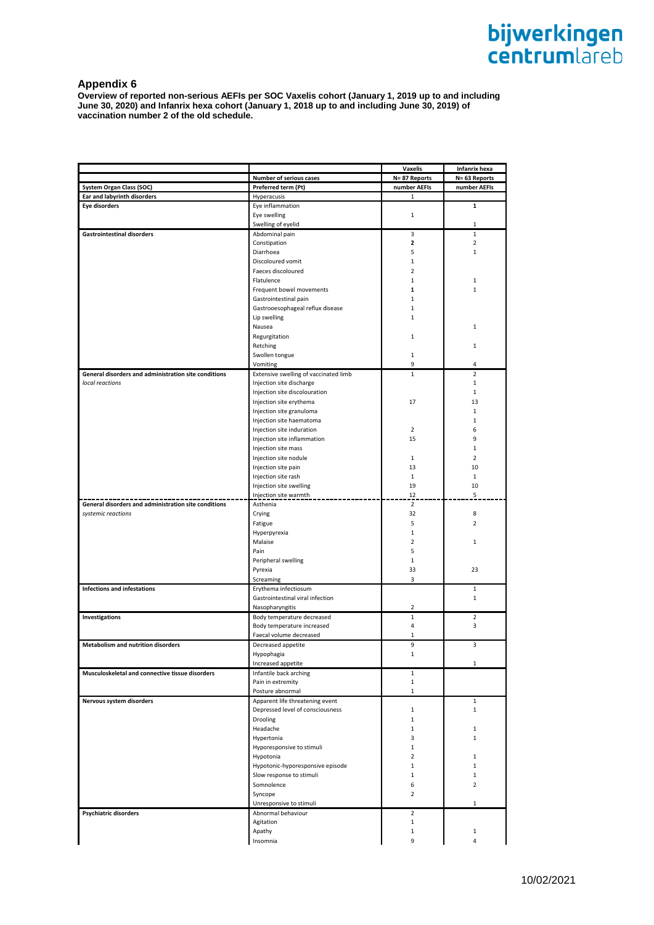## **Appendix 6**

**Overview of reported non-serious AEFIs per SOC Vaxelis cohort (January 1, 2019 up to and including June 30, 2020) and Infanrix hexa cohort (January 1, 2018 up to and including June 30, 2019) of vaccination number 2 of the old schedule.**

|                                                      |                                       | Vaxelis                 | Infanrix hexa  |
|------------------------------------------------------|---------------------------------------|-------------------------|----------------|
|                                                      | Number of serious cases               | N=87 Reports            | N= 63 Reports  |
| <b>System Organ Class (SOC)</b>                      | Preferred term (Pt)                   | number AEFIs            | number AEFIs   |
| Ear and labyrinth disorders                          | Hyperacusis                           | 1                       |                |
| <b>Eye disorders</b>                                 | Eye inflammation                      |                         | 1              |
|                                                      | Eye swelling                          | $\mathbf{1}$            |                |
|                                                      | Swelling of eyelid                    |                         | $\mathbf 1$    |
| <b>Gastrointestinal disorders</b>                    | Abdominal pain                        | 3                       | $\mathbf 1$    |
|                                                      | Constipation                          | $\overline{\mathbf{z}}$ | $\overline{2}$ |
|                                                      | Diarrhoea                             | 5                       | $\mathbf{1}$   |
|                                                      | Discoloured vomit                     | $\mathbf{1}$            |                |
|                                                      | Faeces discoloured                    | $\overline{2}$          |                |
|                                                      | Flatulence                            | $\mathbf{1}$            | $\mathbf{1}$   |
|                                                      | Frequent bowel movements              | 1                       | $\mathbf{1}$   |
|                                                      | Gastrointestinal pain                 | $\mathbf{1}$            |                |
|                                                      | Gastrooesophageal reflux disease      | $\mathbf 1$             |                |
|                                                      | Lip swelling                          | 1                       |                |
|                                                      | Nausea                                |                         | $\mathbf{1}$   |
|                                                      | Regurgitation                         | $\mathbf{1}$            |                |
|                                                      | Retching                              |                         | $\mathbf{1}$   |
|                                                      | Swollen tongue                        | 1                       |                |
|                                                      | Vomiting                              | 9                       | 4              |
| General disorders and administration site conditions | Extensive swelling of vaccinated limb | $\mathbf 1$             | $\overline{2}$ |
| local reactions                                      | Injection site discharge              |                         | $\mathbf{1}$   |
|                                                      | Injection site discolouration         |                         | $\mathbf{1}$   |
|                                                      | Injection site erythema               | 17                      | 13             |
|                                                      | Injection site granuloma              |                         | $\mathbf{1}$   |
|                                                      | Injection site haematoma              |                         | $\mathbf{1}$   |
|                                                      | Injection site induration             | $\overline{2}$          | 6              |
|                                                      | Injection site inflammation           | 15                      | 9              |
|                                                      | Injection site mass                   |                         | $\mathbf{1}$   |
|                                                      | Injection site nodule                 | 1                       | $\overline{2}$ |
|                                                      | Injection site pain                   | 13                      | 10             |
|                                                      | Injection site rash                   | $\mathbf{1}$            | $\mathbf{1}$   |
|                                                      | Injection site swelling               | 19                      | 10             |
|                                                      | Injection site warmth                 | 12                      | 5              |
| General disorders and administration site conditions | Asthenia                              | $\overline{2}$          |                |
| systemic reactions                                   | Crying                                | 32                      | 8              |
|                                                      | Fatigue                               | 5                       | $\overline{2}$ |
|                                                      | Hyperpyrexia                          | $\mathbf{1}$            |                |
|                                                      | Malaise                               | $\overline{2}$          | $\mathbf{1}$   |
|                                                      | Pain                                  | 5                       |                |
|                                                      | Peripheral swelling                   | $\mathbf{1}$            |                |
|                                                      | Pyrexia                               | 33                      | 23             |
|                                                      | Screaming                             | 3                       |                |
| Infections and infestations                          | Erythema infectiosum                  |                         | 1              |
|                                                      | Gastrointestinal viral infection      |                         | $\mathbf{1}$   |
|                                                      | Nasopharyngitis                       | $\overline{2}$          |                |
| Investigations                                       | Body temperature decreased            | $1\,$                   | $\overline{2}$ |
|                                                      | Body temperature increased            | 4                       | 3              |
|                                                      | Faecal volume decreased               | $\mathbf{1}$            |                |
| Metabolism and nutrition disorders                   | Decreased appetite                    | 9                       | 3              |
|                                                      | Hypophagia                            | 1                       |                |
|                                                      | Increased appetite                    |                         | 1              |
| Musculoskeletal and connective tissue disorders      | Infantile back arching                | 1                       |                |
|                                                      | Pain in extremity                     | $\mathbf{1}$            |                |
|                                                      | Posture abnormal                      | $\mathbf{1}$            |                |
| Nervous system disorders                             | Apparent life threatening event       |                         | 1              |
|                                                      | Depressed level of consciousness      | $\mathbf 1$             | $\mathbf{1}$   |
|                                                      | Drooling                              | $\mathbf 1$             |                |
|                                                      | Headache                              | $\mathbf{1}$            | 1              |
|                                                      | Hypertonia                            | 3                       | $\mathbf{1}$   |
|                                                      | Hyporesponsive to stimuli             | $\mathbf{1}$            |                |
|                                                      | Hypotonia                             | $\overline{2}$          | $\mathbf{1}$   |
|                                                      | Hypotonic-hyporesponsive episode      | $\mathbf{1}$            | $\mathbf{1}$   |
|                                                      | Slow response to stimuli              | $\mathbf{1}$            | $\mathbf{1}$   |
|                                                      | Somnolence                            | 6                       | $\overline{2}$ |
|                                                      | Syncope                               | 2                       |                |
|                                                      | Unresponsive to stimuli               |                         | 1              |
| Psychiatric disorders                                | Abnormal behaviour                    | 2                       |                |
|                                                      | Agitation                             | $\mathbf{1}$            |                |
|                                                      | Apathy                                | 1                       | $\mathbf{1}$   |
|                                                      | Insomnia                              | 9                       | 4              |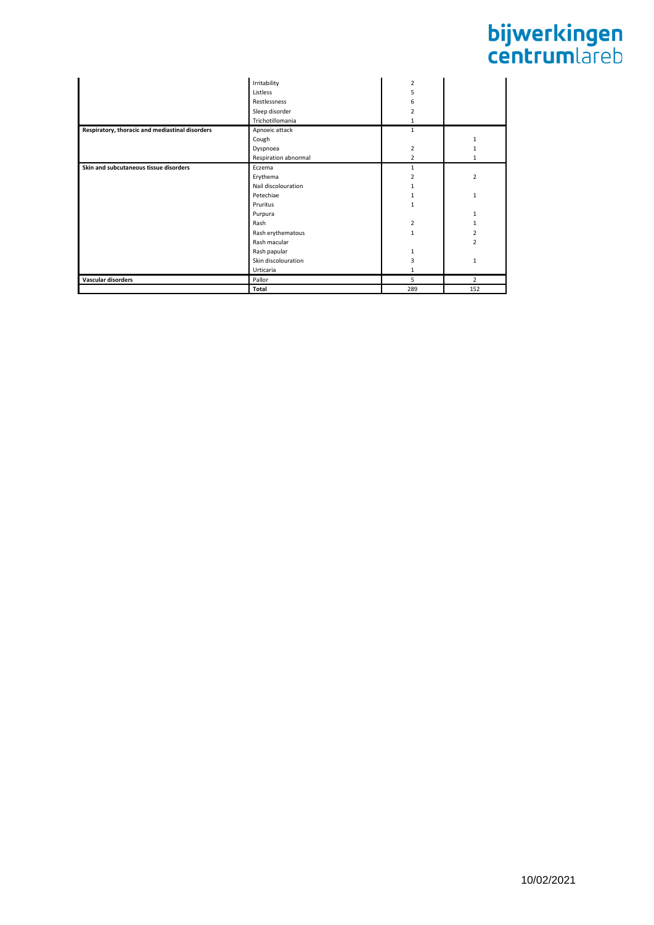|                                                 | Irritability         | $\overline{2}$          |                |
|-------------------------------------------------|----------------------|-------------------------|----------------|
|                                                 | Listless             | 5                       |                |
|                                                 | Restlessness         | 6                       |                |
|                                                 | Sleep disorder       | $\overline{\mathbf{z}}$ |                |
|                                                 | Trichotillomania     | 1                       |                |
| Respiratory, thoracic and mediastinal disorders | Apnoeic attack       | $\mathbf{1}$            |                |
|                                                 | Cough                |                         | 1              |
|                                                 | Dyspnoea             | $\overline{2}$          | 1              |
|                                                 | Respiration abnormal | $\overline{2}$          | 1              |
| Skin and subcutaneous tissue disorders          | Eczema               | 1                       |                |
|                                                 | Erythema             | $\overline{\mathbf{z}}$ | $\overline{2}$ |
|                                                 | Nail discolouration  | 1                       |                |
|                                                 | Petechiae            | 1                       | $\mathbf{1}$   |
|                                                 | Pruritus             | $\mathbf{1}$            |                |
|                                                 | Purpura              |                         | $\mathbf{1}$   |
|                                                 | Rash                 | $\overline{2}$          | 1              |
|                                                 | Rash erythematous    | $\mathbf{1}$            | $\overline{2}$ |
|                                                 | Rash macular         |                         | $\overline{2}$ |
|                                                 | Rash papular         | $\mathbf{1}$            |                |
|                                                 | Skin discolouration  | 3                       | $\mathbf{1}$   |
|                                                 | Urticaria            | 1                       |                |
| Vascular disorders                              | Pallor               | 5                       | $\overline{2}$ |
|                                                 | Total                | 289                     | 152            |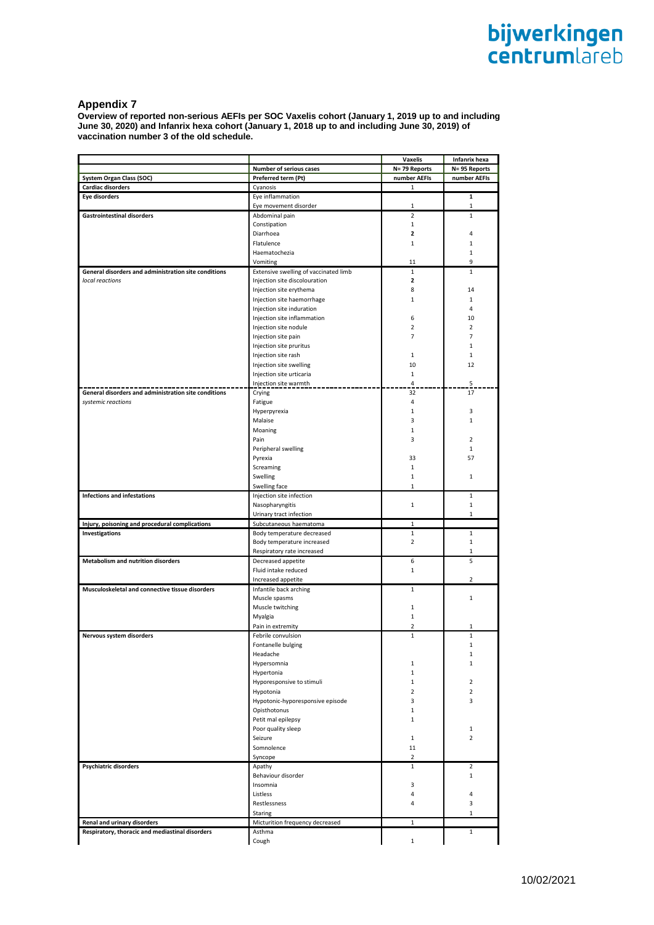#### **Appendix 7**

**Overview of reported non-serious AEFIs per SOC Vaxelis cohort (January 1, 2019 up to and including June 30, 2020) and Infanrix hexa cohort (January 1, 2018 up to and including June 30, 2019) of vaccination number 3 of the old schedule.**

|                                                      |                                       | Vaxelis        | Infanrix hexa  |
|------------------------------------------------------|---------------------------------------|----------------|----------------|
|                                                      | <b>Number of serious cases</b>        | N= 79 Reports  | N= 95 Reports  |
| <b>System Organ Class (SOC)</b>                      | Preferred term (Pt)                   | number AEFIs   | number AEFIs   |
| <b>Cardiac disorders</b>                             | Cyanosis                              | 1              |                |
| Eye disorders                                        | Eye inflammation                      |                | 1              |
|                                                      | Eye movement disorder                 | 1              | 1              |
| <b>Gastrointestinal disorders</b>                    | Abdominal pain                        | $\overline{2}$ | $\mathbf{1}$   |
|                                                      | Constipation                          | $\mathbf{1}$   |                |
|                                                      | Diarrhoea                             | $\overline{2}$ | 4              |
|                                                      | Flatulence                            | $\mathbf{1}$   | 1              |
|                                                      | Haematochezia                         |                | 1              |
|                                                      | Vomiting                              | 11             | 9              |
| General disorders and administration site conditions | Extensive swelling of vaccinated limb | $\mathbf{1}$   | $\mathbf{1}$   |
| local reactions                                      | Injection site discolouration         | $\mathbf{z}$   |                |
|                                                      | Injection site erythema               | 8              | 14             |
|                                                      | Injection site haemorrhage            | $\mathbf{1}$   | 1              |
|                                                      | Injection site induration             |                | 4              |
|                                                      | Injection site inflammation           | 6              | 10             |
|                                                      | Injection site nodule                 | $\overline{2}$ | 2              |
|                                                      | Injection site pain                   | $\overline{7}$ | $\overline{7}$ |
|                                                      | Injection site pruritus               |                | $1\,$          |
|                                                      | Injection site rash                   | 1              | 1              |
|                                                      | Injection site swelling               | 10             | 12             |
|                                                      | Injection site urticaria              | $\mathbf{1}$   |                |
|                                                      | Injection site warmth                 | 4              | 5              |
| General disorders and administration site conditions | Crying                                | 32             | 17             |
| systemic reactions                                   | Fatigue                               | 4              |                |
|                                                      | Hyperpyrexia                          | $\mathbf{1}$   | 3              |
|                                                      | Malaise                               | 3              | 1              |
|                                                      | Moaning                               | $\mathbf 1$    |                |
|                                                      | Pain                                  | 3              | $\overline{2}$ |
|                                                      | Peripheral swelling                   |                | 1              |
|                                                      | Pyrexia                               | 33             | 57             |
|                                                      | Screaming                             | $\mathbf{1}$   |                |
|                                                      | Swelling                              | $\mathbf{1}$   | 1              |
|                                                      | Swelling face                         | $\mathbf 1$    |                |
| Infections and infestations                          | Injection site infection              |                | $\mathbf{1}$   |
|                                                      | Nasopharyngitis                       | $\mathbf{1}$   | $\mathbf{1}$   |
|                                                      | Urinary tract infection               |                | $1\,$          |
| Injury, poisoning and procedural complications       | Subcutaneous haematoma                | $\mathbf{1}$   |                |
| Investigations                                       | Body temperature decreased            | 1              | 1              |
|                                                      | Body temperature increased            | $\overline{2}$ | $\mathbf{1}$   |
|                                                      | Respiratory rate increased            |                | 1              |
| Metabolism and nutrition disorders                   | Decreased appetite                    | 6              | 5              |
|                                                      | Fluid intake reduced                  | $\mathbf{1}$   |                |
|                                                      | Increased appetite                    |                | $\overline{2}$ |
| Musculoskeletal and connective tissue disorders      | Infantile back arching                | 1              |                |
|                                                      | Muscle spasms                         |                | $1\,$          |
|                                                      | Muscle twitching                      | $\mathbf{1}$   |                |
|                                                      | Myalgia                               | $\mathbf 1$    |                |
|                                                      | Pain in extremity                     | $\overline{2}$ | 1              |
| Nervous system disorders                             | Febrile convulsion                    | $\mathbf{1}$   | $\mathbf 1$    |
|                                                      | Fontanelle bulging                    |                | 1              |
|                                                      | Headache                              |                | 1              |
|                                                      | Hypersomnia                           | $\mathbf{1}$   | 1              |
|                                                      | Hypertonia                            | $\mathbf{1}$   |                |
|                                                      | Hyporesponsive to stimuli             | $\mathbf{1}$   | $\overline{2}$ |
|                                                      | Hypotonia                             | $\overline{2}$ | $\overline{2}$ |
|                                                      | Hypotonic-hyporesponsive episode      | 3              | 3              |
|                                                      | Opisthotonus                          | $\mathbf{1}$   |                |
|                                                      | Petit mal epilepsy                    | $\mathbf{1}$   |                |
|                                                      | Poor quality sleep                    |                | 1              |
|                                                      | Seizure                               | $\mathbf{1}$   | $\overline{2}$ |
|                                                      | Somnolence                            | 11             |                |
|                                                      | Syncope                               | $\overline{2}$ |                |
| Psychiatric disorders                                | Apathy                                | 1              | $\overline{2}$ |
|                                                      | Behaviour disorder                    |                | 1              |
|                                                      | Insomnia                              | 3              |                |
|                                                      | Listless                              | 4              | 4              |
|                                                      | Restlessness                          | 4              | 3              |
|                                                      | Staring                               |                | 1              |
| Renal and urinary disorders                          | Micturition frequency decreased       | 1              |                |
| Respiratory, thoracic and mediastinal disorders      | Asthma                                |                | $\mathbf{1}$   |
|                                                      | Cough                                 | $\mathbf{1}$   |                |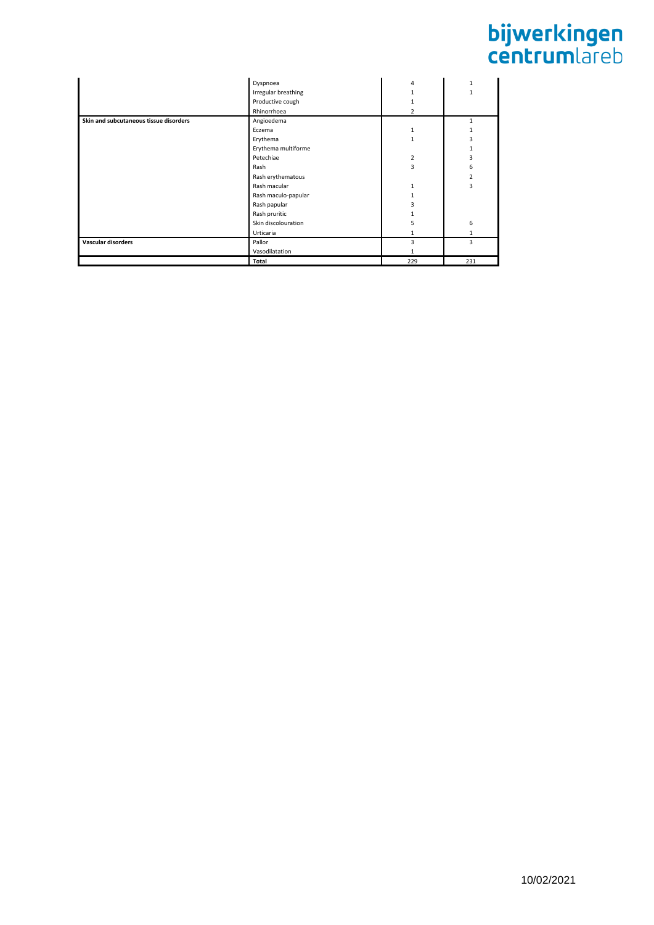|                                        | Dyspnoea            | 4              |     |
|----------------------------------------|---------------------|----------------|-----|
|                                        | Irregular breathing |                |     |
|                                        | Productive cough    |                |     |
|                                        | Rhinorrhoea         | $\overline{2}$ |     |
| Skin and subcutaneous tissue disorders | Angioedema          |                |     |
|                                        | Eczema              | 1              |     |
|                                        | Erythema            | $\mathbf{1}$   | 3   |
|                                        | Erythema multiforme |                |     |
|                                        | Petechiae           | $\overline{2}$ | 3   |
|                                        | Rash                | 3              | 6   |
|                                        | Rash erythematous   |                | 2   |
|                                        | Rash macular        | 1              | 3   |
|                                        | Rash maculo-papular |                |     |
|                                        | Rash papular        | 3              |     |
|                                        | Rash pruritic       |                |     |
|                                        | Skin discolouration | 5              | 6   |
|                                        | Urticaria           |                |     |
| Vascular disorders                     | Pallor              | 3              | 3   |
|                                        | Vasodilatation      |                |     |
|                                        | Total               | 229            | 231 |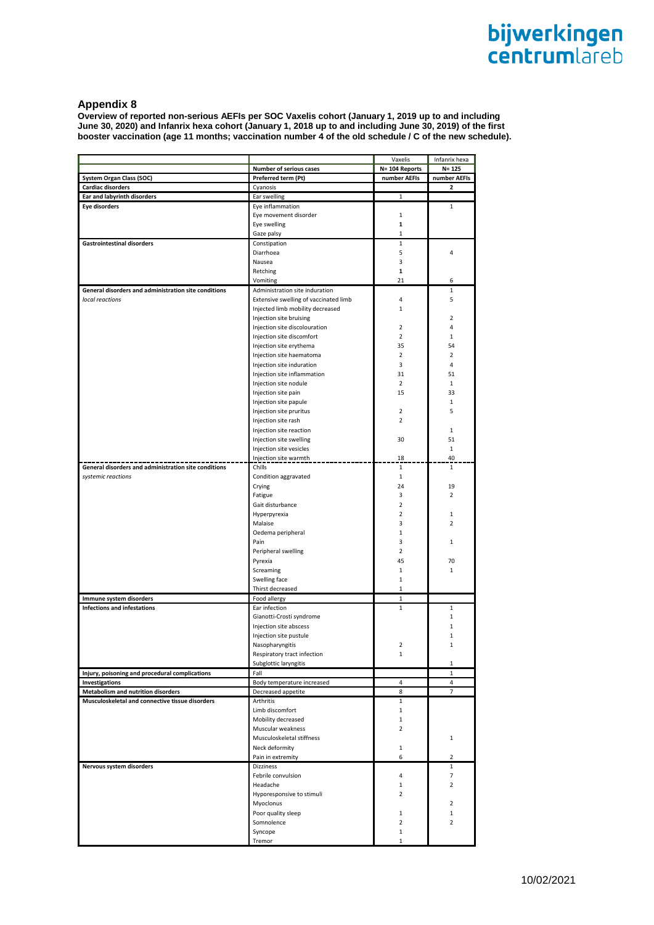# **Appendix 8**

**Overview of reported non-serious AEFIs per SOC Vaxelis cohort (January 1, 2019 up to and including June 30, 2020) and Infanrix hexa cohort (January 1, 2018 up to and including June 30, 2019) of the first booster vaccination (age 11 months; vaccination number 4 of the old schedule / C of the new schedule).**

|                                                      |                                       | Vaxelis        | Infanrix hexa     |
|------------------------------------------------------|---------------------------------------|----------------|-------------------|
|                                                      | Number of serious cases               | N= 104 Reports | $N = 125$         |
| System Organ Class (SOC)                             | Preferred term (Pt)                   | number AEFIs   | number AEFIs      |
| <b>Cardiac disorders</b>                             | Cyanosis                              |                | 2                 |
| Ear and labyrinth disorders                          | Ear swelling                          | 1              |                   |
| Eye disorders                                        | Eye inflammation                      |                | 1                 |
|                                                      | Eye movement disorder                 | $\mathbf{1}$   |                   |
|                                                      | Eye swelling                          | $\mathbf{1}$   |                   |
|                                                      | Gaze palsy                            | 1              |                   |
| <b>Gastrointestinal disorders</b>                    | Constipation                          | $\mathbf{1}$   |                   |
|                                                      | Diarrhoea                             | 5              | 4                 |
|                                                      | Nausea                                | 3              |                   |
|                                                      | Retching                              | 1              |                   |
|                                                      | Vomiting                              | 21             | 6                 |
| General disorders and administration site conditions | Administration site induration        |                | $\mathbf{1}$      |
| local reactions                                      | Extensive swelling of vaccinated limb | 4              | 5                 |
|                                                      | Injected limb mobility decreased      | $\mathbf{1}$   |                   |
|                                                      | Injection site bruising               |                | 2                 |
|                                                      | Injection site discolouration         | $\overline{2}$ | 4                 |
|                                                      | Injection site discomfort             | $\overline{2}$ | $\mathbf{1}$      |
|                                                      | Injection site erythema               | 35             | 54                |
|                                                      | Injection site haematoma              | $\overline{2}$ | $\overline{2}$    |
|                                                      | Injection site induration             | 3              | 4                 |
|                                                      | Injection site inflammation           | 31             | 51                |
|                                                      | Injection site nodule                 | $\overline{2}$ | $\mathbf{1}$      |
|                                                      | Injection site pain                   | 15             | 33                |
|                                                      | Injection site papule                 |                | 1                 |
|                                                      | Injection site pruritus               | $\overline{2}$ | 5                 |
|                                                      | Injection site rash                   | $\overline{2}$ |                   |
|                                                      | Injection site reaction               |                | $\mathbf{1}$      |
|                                                      | Injection site swelling               | 30             | 51                |
|                                                      | Injection site vesicles               |                | $\mathbf{1}$      |
|                                                      | Injection site warmth                 | 18             | 40                |
| General disorders and administration site conditions | Chills                                | $\mathbf{1}$   | $\mathbf{1}$      |
| systemic reactions                                   | Condition aggravated                  | $\mathbf{1}$   |                   |
|                                                      | Crying                                | 24             | 19                |
|                                                      | Fatigue                               | 3              | $\overline{2}$    |
|                                                      | Gait disturbance                      | $\overline{2}$ |                   |
|                                                      | Hyperpyrexia                          | $\overline{2}$ | 1                 |
|                                                      | Malaise                               | 3              | $\overline{2}$    |
|                                                      | Oedema peripheral                     | $\mathbf{1}$   |                   |
|                                                      | Pain                                  | 3              | 1                 |
|                                                      | Peripheral swelling                   | $\overline{2}$ |                   |
|                                                      | Pyrexia                               | 45             | 70                |
|                                                      | Screaming                             | 1              | $\mathbf{1}$      |
|                                                      |                                       | $\mathbf{1}$   |                   |
|                                                      | Swelling face<br>Thirst decreased     | 1              |                   |
|                                                      |                                       |                |                   |
| Immune system disorders                              | Food allergy                          | $\mathbf{1}$   |                   |
| <b>Infections and infestations</b>                   | Ear infection                         | 1              | 1<br>$\mathbf{1}$ |
|                                                      | Gianotti-Crosti syndrome              |                |                   |
|                                                      | Injection site abscess                |                | 1                 |
|                                                      | Injection site pustule                |                | 1<br>1            |
|                                                      | Nasopharyngitis                       |                |                   |
|                                                      | Respiratory tract infection           | 1              |                   |
|                                                      | Subglottic laryngitis                 |                | 1                 |
| Injury, poisoning and procedural complications       | Fall                                  |                | 1                 |
| Investigations                                       | Body temperature increased            | 4              | 4                 |
| Metabolism and nutrition disorders                   | Decreased appetite                    | 8              | $\overline{7}$    |
| Musculoskeletal and connective tissue disorders      | Arthritis                             | $\mathbf{1}$   |                   |
|                                                      | Limb discomfort                       | $\mathbf{1}$   |                   |
|                                                      | Mobility decreased                    | $\mathbf{1}$   |                   |
|                                                      | Muscular weakness                     | $\overline{2}$ |                   |
|                                                      | Musculoskeletal stiffness             |                | 1                 |
|                                                      | Neck deformity                        | $\mathbf 1$    |                   |
|                                                      | Pain in extremity                     | 6              | 2                 |
| Nervous system disorders                             | Dizziness                             |                | $\mathbf{1}$      |
|                                                      | Febrile convulsion                    | 4              | 7                 |
|                                                      | Headache                              | 1              | $\overline{2}$    |
|                                                      | Hyporesponsive to stimuli             | $\overline{2}$ |                   |
|                                                      | Myoclonus                             |                | 2                 |
|                                                      | Poor quality sleep                    | $\mathbf 1$    | $\mathbf{1}$      |
|                                                      | Somnolence                            | $\overline{2}$ | 2                 |
|                                                      | Syncope                               | 1              |                   |
|                                                      | Tremor                                | 1              |                   |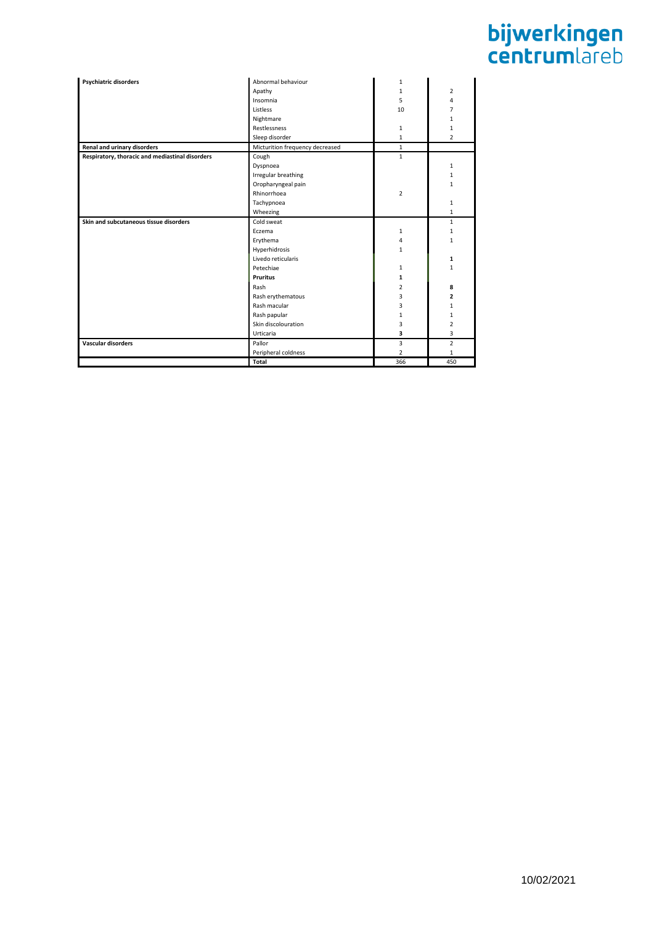| <b>Psychiatric disorders</b>                    | Abnormal behaviour              | 1              |                |
|-------------------------------------------------|---------------------------------|----------------|----------------|
|                                                 | Apathy                          | $\mathbf{1}$   | $\overline{2}$ |
|                                                 | Insomnia                        | 5              | 4              |
|                                                 | Listless                        | 10             | 7              |
|                                                 | Nightmare                       |                | $\mathbf{1}$   |
|                                                 | <b>Restlessness</b>             | $\mathbf{1}$   | $\mathbf{1}$   |
|                                                 | Sleep disorder                  | $\mathbf{1}$   | $\overline{2}$ |
| Renal and urinary disorders                     | Micturition frequency decreased | $\mathbf{1}$   |                |
| Respiratory, thoracic and mediastinal disorders | Cough                           | $\mathbf{1}$   |                |
|                                                 |                                 |                |                |
|                                                 | Dyspnoea                        |                | 1              |
|                                                 | Irregular breathing             |                | $\mathbf{1}$   |
|                                                 | Oropharyngeal pain              |                | 1              |
|                                                 | Rhinorrhoea                     | $\overline{2}$ |                |
|                                                 | Tachypnoea                      |                | 1              |
|                                                 | Wheezing                        |                | $\mathbf{1}$   |
| Skin and subcutaneous tissue disorders          | Cold sweat                      |                | $\mathbf{1}$   |
|                                                 | Eczema                          | $\mathbf{1}$   | $\mathbf{1}$   |
|                                                 | Erythema                        | 4              | $\mathbf{1}$   |
|                                                 | Hyperhidrosis                   | $\mathbf{1}$   |                |
|                                                 | Livedo reticularis              |                | 1              |
|                                                 | Petechiae                       | $\mathbf{1}$   | 1              |
|                                                 | <b>Pruritus</b>                 | $\mathbf{1}$   |                |
|                                                 | Rash                            | $\overline{2}$ | 8              |
|                                                 | Rash erythematous               | 3              | $\overline{2}$ |
|                                                 | Rash macular                    | 3              | 1              |
|                                                 | Rash papular                    | $\mathbf{1}$   | 1              |
|                                                 | Skin discolouration             | 3              | $\overline{2}$ |
|                                                 | Urticaria                       | 3              | 3              |
| <b>Vascular disorders</b>                       | Pallor                          | 3              | $\overline{2}$ |
|                                                 | Peripheral coldness             | $\overline{2}$ | $\mathbf{1}$   |
|                                                 | Total                           | 366            | 450            |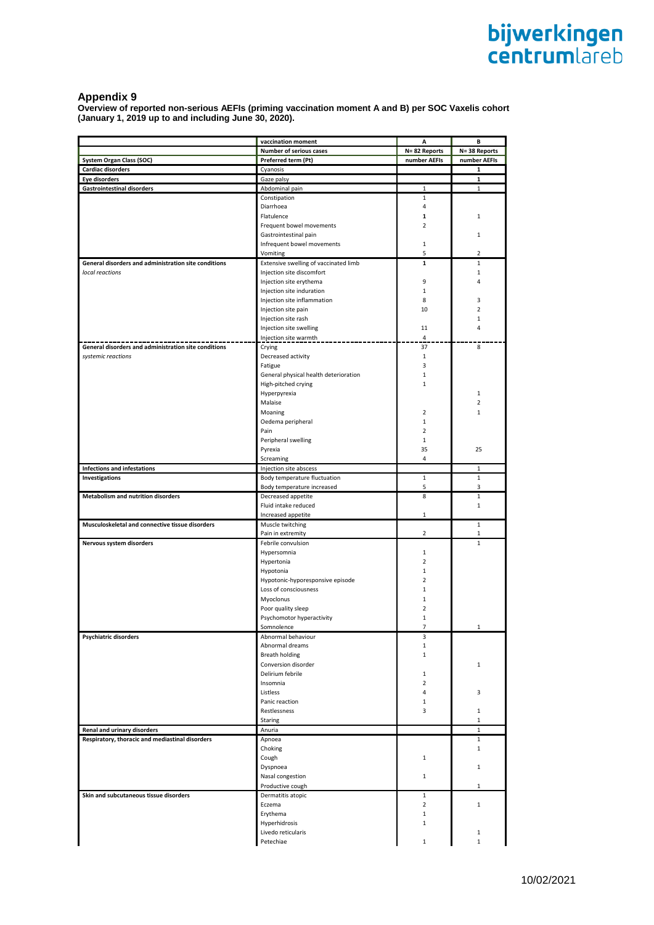## **Appendix 9**

**Overview of reported non-serious AEFIs (priming vaccination moment A and B) per SOC Vaxelis cohort (January 1, 2019 up to and including June 30, 2020).**

|                                                             | vaccination moment                    | А              | В              |
|-------------------------------------------------------------|---------------------------------------|----------------|----------------|
|                                                             | <b>Number of serious cases</b>        | N=82 Reports   | N=38 Reports   |
| <b>System Organ Class (SOC)</b>                             | Preferred term (Pt)                   | number AEFIs   | number AEFIs   |
| <b>Cardiac disorders</b>                                    | Cyanosis                              |                | 1              |
| <b>Eye disorders</b>                                        | Gaze palsy                            |                | 1              |
| <b>Gastrointestinal disorders</b>                           | Abdominal pain                        | $\mathbf 1$    | $\mathbf{1}$   |
|                                                             | Constipation                          | $\mathbf{1}$   |                |
|                                                             | Diarrhoea                             | 4              |                |
|                                                             | Flatulence                            | 1              | 1              |
|                                                             | Frequent bowel movements              | $\overline{2}$ |                |
|                                                             | Gastrointestinal pain                 |                | 1              |
|                                                             |                                       |                |                |
|                                                             | Infrequent bowel movements            | 1              |                |
|                                                             | Vomiting                              | 5              | 2              |
| <b>General disorders and administration site conditions</b> | Extensive swelling of vaccinated limb | 1              | $\mathbf{1}$   |
| local reactions                                             | Injection site discomfort             |                | $\mathbf{1}$   |
|                                                             | Injection site erythema               | 9              | 4              |
|                                                             | Injection site induration             | 1              |                |
|                                                             | Injection site inflammation           | 8              | 3              |
|                                                             | Injection site pain                   | 10             | 2              |
|                                                             | Injection site rash                   |                | 1              |
|                                                             | Injection site swelling               | 11             | 4              |
|                                                             | Injection site warmth                 | 4              |                |
| General disorders and administration site conditions        | Crying                                | 37             | 8              |
| systemic reactions                                          | Decreased activity                    | $\mathbf 1$    |                |
|                                                             | Fatigue                               | 3              |                |
|                                                             |                                       |                |                |
|                                                             | General physical health deterioration | 1              |                |
|                                                             | High-pitched crying                   | $\mathbf{1}$   |                |
|                                                             | Hyperpyrexia                          |                | 1              |
|                                                             | Malaise                               |                | $\overline{2}$ |
|                                                             | Moaning                               | $\overline{2}$ | 1              |
|                                                             | Oedema peripheral                     | $\mathbf{1}$   |                |
|                                                             | Pain                                  | $\overline{2}$ |                |
|                                                             | Peripheral swelling                   | 1              |                |
|                                                             | Pyrexia                               | 35             | 25             |
|                                                             | Screaming                             | 4              |                |
| <b>Infections and infestations</b>                          | Injection site abscess                |                | 1              |
| Investigations                                              | Body temperature fluctuation          | $\mathbf{1}$   | $\mathbf{1}$   |
|                                                             | Body temperature increased            | 5              | 3              |
| <b>Metabolism and nutrition disorders</b>                   | Decreased appetite                    | 8              | $\mathbf{1}$   |
|                                                             | Fluid intake reduced                  |                | $\mathbf{1}$   |
|                                                             |                                       | 1              |                |
|                                                             | Increased appetite                    |                |                |
| Musculoskeletal and connective tissue disorders             | Muscle twitching                      |                | $\mathbf{1}$   |
|                                                             | Pain in extremity                     | $\overline{2}$ | 1              |
| Nervous system disorders                                    | Febrile convulsion                    |                | $\mathbf{1}$   |
|                                                             | Hypersomnia                           | $\mathbf{1}$   |                |
|                                                             | Hypertonia                            | $\overline{2}$ |                |
|                                                             | Hypotonia                             | 1              |                |
|                                                             | Hypotonic-hyporesponsive episode      | $\overline{2}$ |                |
|                                                             | Loss of consciousness                 | 1              |                |
|                                                             | Myoclonus                             | 1              |                |
|                                                             | Poor quality sleep                    | $\overline{2}$ |                |
|                                                             | Psychomotor hyperactivity             | $\mathbf{1}$   |                |
|                                                             | Somnolence                            | 7              | 1              |
| Psychiatric disorders                                       | Abnormal behaviour                    | 3              |                |
|                                                             | Abnormal dreams                       | 1              |                |
|                                                             | Breath holding                        | $\mathbf{1}$   |                |
|                                                             | Conversion disorder                   |                |                |
|                                                             |                                       |                | 1              |
|                                                             | Delirium febrile                      | 1              |                |
|                                                             | Insomnia                              | 2              |                |
|                                                             | Listless                              | 4              | 3              |
|                                                             | Panic reaction                        | 1              |                |
|                                                             | Restlessness                          | 3              | 1              |
|                                                             | Staring                               |                | 1              |
| Renal and urinary disorders                                 | Anuria                                |                | $\mathbf{1}$   |
| Respiratory, thoracic and mediastinal disorders             | Apnoea                                |                | $\mathbf{1}$   |
|                                                             | Choking                               |                | $\mathbf{1}$   |
|                                                             | Cough                                 | 1              |                |
|                                                             | Dyspnoea                              |                | 1              |
|                                                             | Nasal congestion                      | 1              |                |
|                                                             | Productive cough                      |                | $\mathbf{1}$   |
| Skin and subcutaneous tissue disorders                      | Dermatitis atopic                     | $\mathbf{1}$   |                |
|                                                             | Eczema                                | $\overline{2}$ | $\mathbf{1}$   |
|                                                             |                                       | 1              |                |
|                                                             | Erythema                              |                |                |
|                                                             | Hyperhidrosis                         | 1              |                |
|                                                             | Livedo reticularis                    |                | 1              |
|                                                             | Petechiae                             | 1              | 1              |